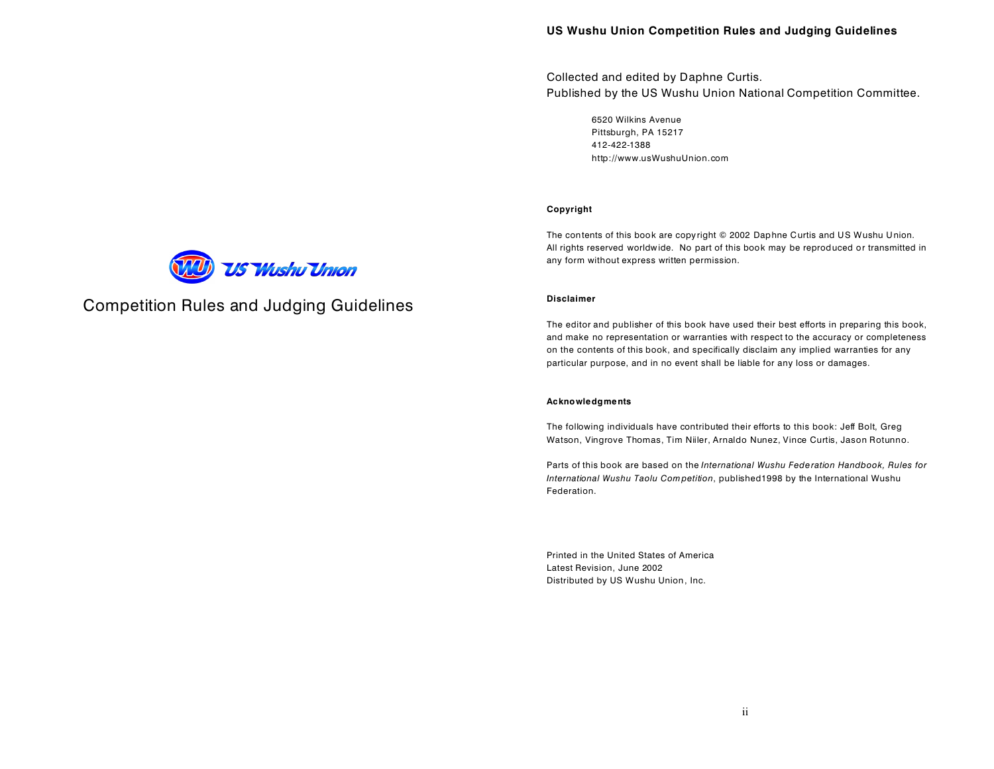Collected and edited by Daphne Curtis. Published by the US Wushu Union National Competition Committee.

> 6520 Wilkins Avenue Pittsburgh, PA 15217 412-422-1388 http://www.usWushuUnion.com

#### **Copyright**

The contents of this book are copyright © 2002 Daphne Curtis and US Wushu Union. All rights reserved worldwide. No part of this book may be reproduced or transmitted in any form without express written permission.

#### **Disclaimer**

The editor and publisher of this book have used their best efforts in preparing this book, and make no representation or warranties with respect to the accuracy or completeness on the contents of this book, and specifically disclaim any implied warranties for any particular purpose, and in no event shall be liable for any loss or damages.

#### **Acknowledgments**

The following individuals have contributed their efforts to this book: Jeff Bolt, Greg Watson, Vingrove Thomas, Tim Niiler, Arnaldo Nunez, Vince Curtis, Jason Rotunno.

Parts of this book are based on the *International Wushu Fede ration Handbook, Rules for International Wushu Taolu Competition*, published1998 by the International Wushu Federation.

Printed in the United States of America Latest Revision, June 2002 Distributed by US Wushu Union, Inc.



# Competition Rules and Judging Guidelines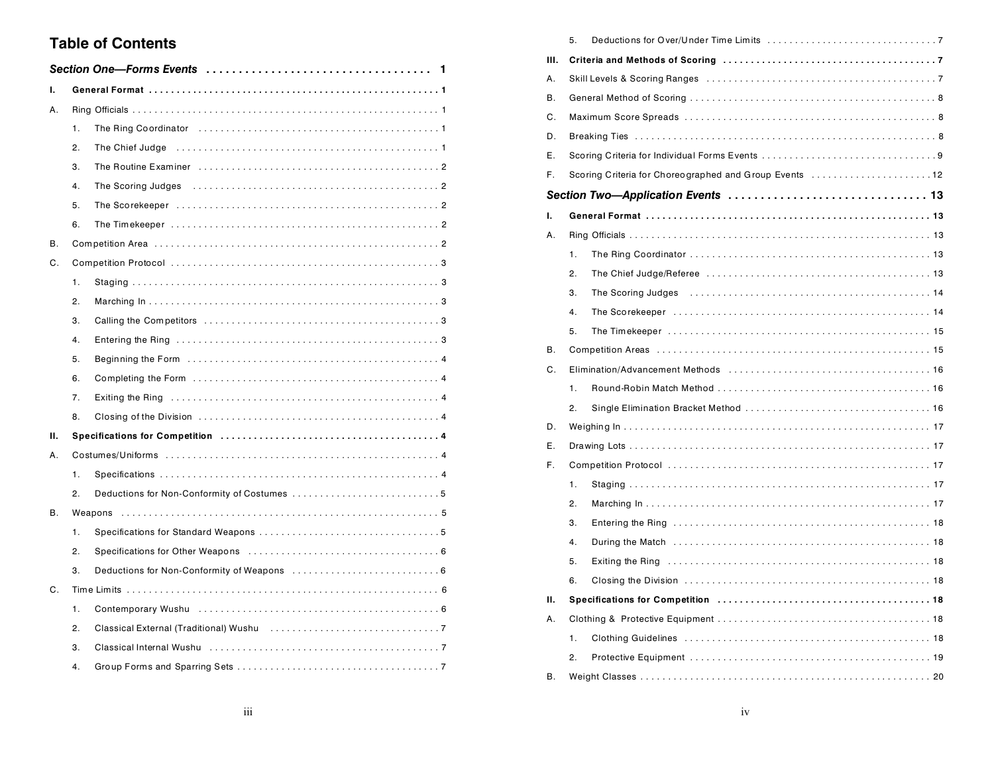# **Table of Contents**

| L.        |    |                                                                                                                                                                                                                                |  |  |  |
|-----------|----|--------------------------------------------------------------------------------------------------------------------------------------------------------------------------------------------------------------------------------|--|--|--|
| A.        |    |                                                                                                                                                                                                                                |  |  |  |
|           | 1. |                                                                                                                                                                                                                                |  |  |  |
|           | 2. | The Chief Judge (and account account of the Chief of the Chief Judge (and account of the Chief of the Chief of the Chief of the Chief of the Chief of the Chief of the Chief of the Chief of the Chief of the Chief of the Chi |  |  |  |
|           | 3. | The Routine Examiner (and all contained and all contained and all contained and all contained and all contained and $2$                                                                                                        |  |  |  |
|           | 4. |                                                                                                                                                                                                                                |  |  |  |
|           | 5. |                                                                                                                                                                                                                                |  |  |  |
|           | 6. |                                                                                                                                                                                                                                |  |  |  |
| <b>B.</b> |    |                                                                                                                                                                                                                                |  |  |  |
| C.        |    |                                                                                                                                                                                                                                |  |  |  |
|           | 1. |                                                                                                                                                                                                                                |  |  |  |
|           | 2. |                                                                                                                                                                                                                                |  |  |  |
|           | 3. |                                                                                                                                                                                                                                |  |  |  |
|           | 4. |                                                                                                                                                                                                                                |  |  |  |
|           | 5. |                                                                                                                                                                                                                                |  |  |  |
|           | 6. |                                                                                                                                                                                                                                |  |  |  |
|           | 7. |                                                                                                                                                                                                                                |  |  |  |
|           | 8. |                                                                                                                                                                                                                                |  |  |  |
| н.        |    |                                                                                                                                                                                                                                |  |  |  |
| A.        |    |                                                                                                                                                                                                                                |  |  |  |
|           | 1. |                                                                                                                                                                                                                                |  |  |  |
|           | 2. |                                                                                                                                                                                                                                |  |  |  |
| <b>B.</b> |    |                                                                                                                                                                                                                                |  |  |  |
|           | 1. |                                                                                                                                                                                                                                |  |  |  |
|           | 2. |                                                                                                                                                                                                                                |  |  |  |
|           | 3. |                                                                                                                                                                                                                                |  |  |  |
| C.        |    |                                                                                                                                                                                                                                |  |  |  |
|           | 1. |                                                                                                                                                                                                                                |  |  |  |
|           | 2. |                                                                                                                                                                                                                                |  |  |  |
|           | 3. | Classical Internal Wushu (etc.) (etc.) (etc.) (etc.) (etc.) (etc.) (etc.) (etc.) (etc.) (etc.) (etc.) (etc.) (                                                                                                                 |  |  |  |
|           | 4. |                                                                                                                                                                                                                                |  |  |  |

|           | 5.                                                     |                                                                                                                                                                                                                                |  |  |
|-----------|--------------------------------------------------------|--------------------------------------------------------------------------------------------------------------------------------------------------------------------------------------------------------------------------------|--|--|
| Ш.        |                                                        |                                                                                                                                                                                                                                |  |  |
| Α.        |                                                        |                                                                                                                                                                                                                                |  |  |
| В.        |                                                        |                                                                                                                                                                                                                                |  |  |
| С.        |                                                        |                                                                                                                                                                                                                                |  |  |
| D.        |                                                        |                                                                                                                                                                                                                                |  |  |
| Ε.        |                                                        |                                                                                                                                                                                                                                |  |  |
| F.        | Scoring Criteria for Choreographed and Group Events 12 |                                                                                                                                                                                                                                |  |  |
|           |                                                        |                                                                                                                                                                                                                                |  |  |
| ı.        |                                                        |                                                                                                                                                                                                                                |  |  |
| A.        |                                                        |                                                                                                                                                                                                                                |  |  |
|           | 1.                                                     |                                                                                                                                                                                                                                |  |  |
|           | 2.                                                     |                                                                                                                                                                                                                                |  |  |
|           | 3.                                                     | The Scoring Judges (and account of the Scoring of the Scoring Judges)                                                                                                                                                          |  |  |
|           | 4.                                                     |                                                                                                                                                                                                                                |  |  |
|           | 5.                                                     |                                                                                                                                                                                                                                |  |  |
| В.        |                                                        |                                                                                                                                                                                                                                |  |  |
| C.        |                                                        |                                                                                                                                                                                                                                |  |  |
|           | $\mathbf{1}$ .                                         |                                                                                                                                                                                                                                |  |  |
|           | 2.                                                     |                                                                                                                                                                                                                                |  |  |
| D.        |                                                        |                                                                                                                                                                                                                                |  |  |
| Ε.        |                                                        |                                                                                                                                                                                                                                |  |  |
| F.        |                                                        |                                                                                                                                                                                                                                |  |  |
|           | 1.                                                     |                                                                                                                                                                                                                                |  |  |
|           | 2.                                                     |                                                                                                                                                                                                                                |  |  |
|           | 3.                                                     |                                                                                                                                                                                                                                |  |  |
|           | 4.                                                     | During the Match (and according to the Matchell of the Matchell of the Matchell of the Matchell of the Matchell of the Matchell of the Matchell of the Matchell of the Matchell of the Matchell of the Matchell of the Matchel |  |  |
|           | 5.                                                     |                                                                                                                                                                                                                                |  |  |
|           | 6.                                                     |                                                                                                                                                                                                                                |  |  |
| н.        |                                                        |                                                                                                                                                                                                                                |  |  |
| Α.        |                                                        |                                                                                                                                                                                                                                |  |  |
|           | $\mathbf{1}$ .                                         |                                                                                                                                                                                                                                |  |  |
|           | 2.                                                     |                                                                                                                                                                                                                                |  |  |
| <b>B.</b> |                                                        |                                                                                                                                                                                                                                |  |  |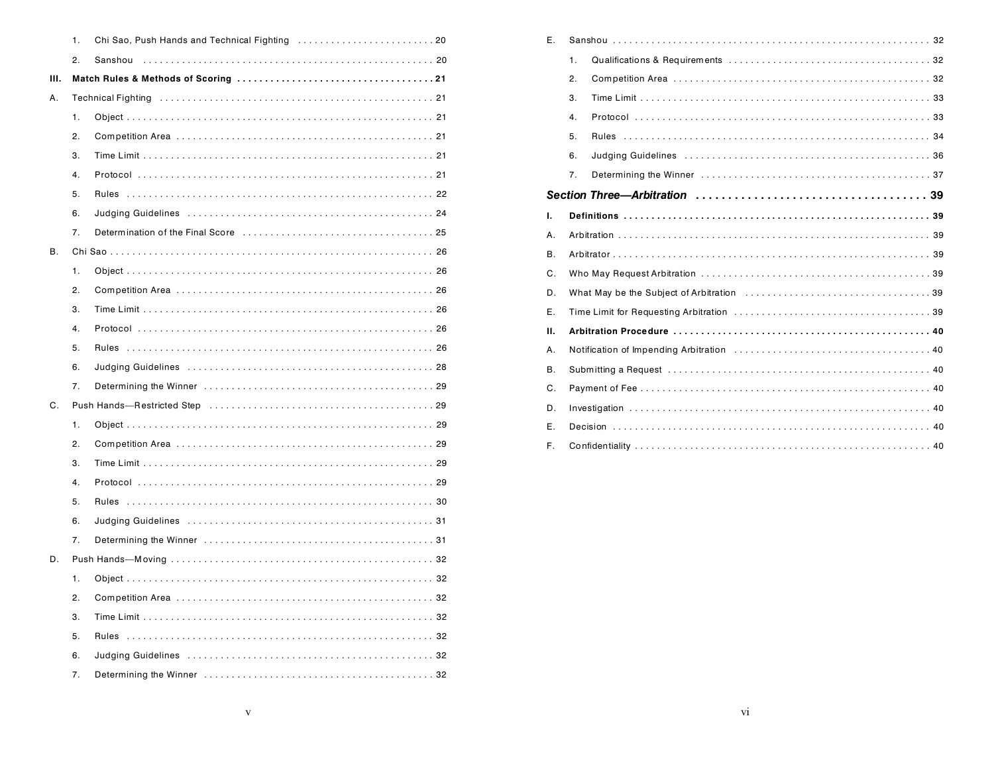|    | 1.               |                                                                                                                                                                                                                                |  |  |
|----|------------------|--------------------------------------------------------------------------------------------------------------------------------------------------------------------------------------------------------------------------------|--|--|
|    | 2.               | Sanshou                                                                                                                                                                                                                        |  |  |
| Ш. |                  |                                                                                                                                                                                                                                |  |  |
| A. |                  |                                                                                                                                                                                                                                |  |  |
|    | 1.               |                                                                                                                                                                                                                                |  |  |
|    | 2.               |                                                                                                                                                                                                                                |  |  |
|    | 3.               |                                                                                                                                                                                                                                |  |  |
|    | $\overline{4}$ . |                                                                                                                                                                                                                                |  |  |
|    | 5.               |                                                                                                                                                                                                                                |  |  |
|    | 6.               |                                                                                                                                                                                                                                |  |  |
|    | 7.               |                                                                                                                                                                                                                                |  |  |
| В. |                  |                                                                                                                                                                                                                                |  |  |
|    | $\mathbf{1}$ .   |                                                                                                                                                                                                                                |  |  |
|    | 2.               |                                                                                                                                                                                                                                |  |  |
|    | 3.               |                                                                                                                                                                                                                                |  |  |
|    | 4.               |                                                                                                                                                                                                                                |  |  |
|    | 5.               |                                                                                                                                                                                                                                |  |  |
|    | 6.               |                                                                                                                                                                                                                                |  |  |
|    | $\overline{7}$ . |                                                                                                                                                                                                                                |  |  |
| C. |                  | Push Hands-Restricted Step (and all and all and all and step of the step of the Push Hands-Restricted Step (and all and step of the step of the step of the step of the step of the step of the step of the step of the step o |  |  |
|    | 1.               |                                                                                                                                                                                                                                |  |  |
|    | 2.               |                                                                                                                                                                                                                                |  |  |
|    | 3.               |                                                                                                                                                                                                                                |  |  |
|    | 4.               |                                                                                                                                                                                                                                |  |  |
|    | 5.               |                                                                                                                                                                                                                                |  |  |
|    | 6.               |                                                                                                                                                                                                                                |  |  |
|    | 7.               |                                                                                                                                                                                                                                |  |  |
| D. |                  |                                                                                                                                                                                                                                |  |  |
|    | 1.               |                                                                                                                                                                                                                                |  |  |
|    | 2.               |                                                                                                                                                                                                                                |  |  |
|    | 3.               |                                                                                                                                                                                                                                |  |  |
|    | 5.               |                                                                                                                                                                                                                                |  |  |
|    | 6.               |                                                                                                                                                                                                                                |  |  |
|    | 7.               |                                                                                                                                                                                                                                |  |  |

| F. |                                                                                                                                                                                                                               |  |
|----|-------------------------------------------------------------------------------------------------------------------------------------------------------------------------------------------------------------------------------|--|
| 1. |                                                                                                                                                                                                                               |  |
| 2. |                                                                                                                                                                                                                               |  |
| 3. |                                                                                                                                                                                                                               |  |
| 4. |                                                                                                                                                                                                                               |  |
| 5. |                                                                                                                                                                                                                               |  |
| 6. | Judging Guidelines et al., respectively, and all the set of the set of the set of the set of the set of the set of the set of the set of the set of the set of the set of the set of the set of the set of the set of the set |  |
| 7. |                                                                                                                                                                                                                               |  |
|    |                                                                                                                                                                                                                               |  |
|    |                                                                                                                                                                                                                               |  |
|    |                                                                                                                                                                                                                               |  |
|    |                                                                                                                                                                                                                               |  |
|    |                                                                                                                                                                                                                               |  |
|    |                                                                                                                                                                                                                               |  |
|    |                                                                                                                                                                                                                               |  |
|    |                                                                                                                                                                                                                               |  |
|    |                                                                                                                                                                                                                               |  |
|    |                                                                                                                                                                                                                               |  |
|    |                                                                                                                                                                                                                               |  |
|    |                                                                                                                                                                                                                               |  |
|    |                                                                                                                                                                                                                               |  |
|    |                                                                                                                                                                                                                               |  |
|    |                                                                                                                                                                                                                               |  |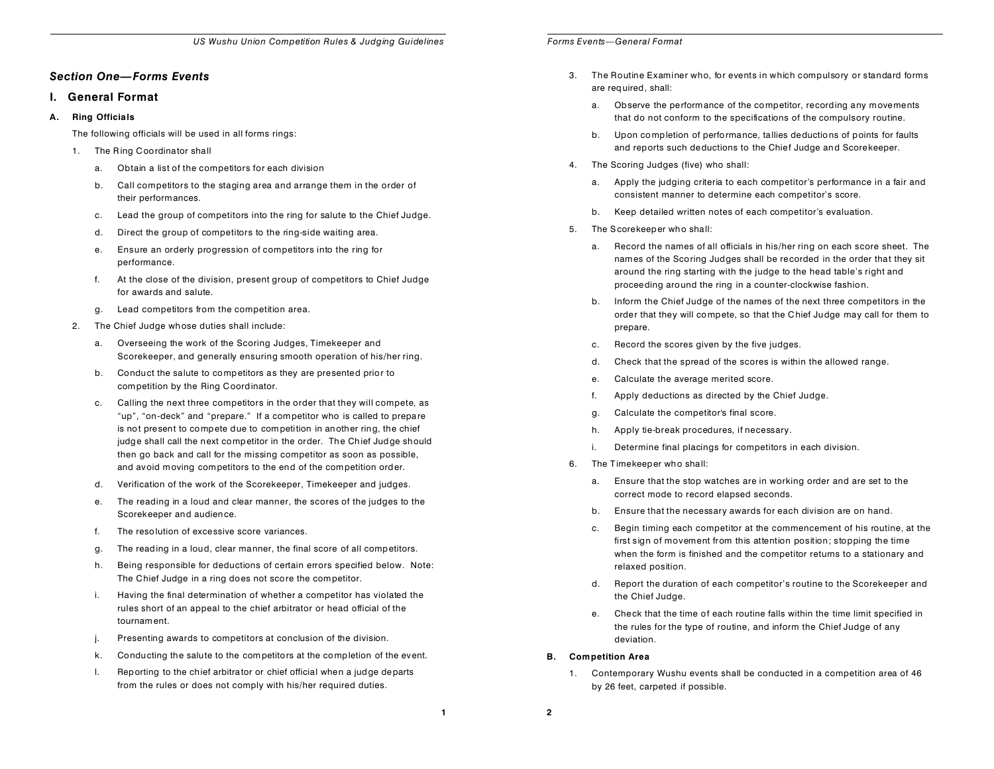# *Section One—Forms Events*

# **I. General Format**

# **A. Ring Officials**

The following officials will be used in all forms rings:

- 1. The Ring Coordinator shall
	- a. Obtain a list of the competitors for each division
	- b. Call competitors to the staging area and arrange them in the order of their performances.
	- c. Lead the group of competitors into the ring for salute to the Chief Judge.
	- d. Direct the group of competitors to the ring-side waiting area.
	- e. Ensure an orderly progression of competitors into the ring for performance.
	- f. At the close of the division, present group of competitors to Chief Judge for awards and salute.
	- g. Lead competitors from the competition area.
- 2. The Chief Judge whose duties shall include:
	- a. Overseeing the work of the Scoring Judges, Timekeeper and Scorekeeper, and generally ensuring smooth operation of his/her ring.
	- b. Conduct the salute to co mpetitors as they are presented prior to competition by the Ring Coordinator.
	- c. Calling the next three competitors in the order that they will compete, as "up", "on-deck" and "prepare." If a competitor who is called to prepare is not present to compete due to com petition in another ring, the chief judge shall call the next competitor in the order. The Chief Judge should then go back and call for the missing competitor as soon as possible, and avoid moving competitors to the end of the com petition order.
	- d. Verification of the work of the Scorekeeper, Timekeeper and judges.
	- e. The reading in a loud and clear manner, the scores of the judges to the Scorekeeper and audience.
	- f. The resolution of excessive score variances.
	- g. The reading in a loud, clear manner, the final score of all competitors.
	- h. Being responsible for deductions of certain errors specified below. Note: The Chief Judge in a ring does not score the competitor.
	- i. Having the final determination of whether a competitor has violated the rules short of an appeal to the chief arbitrator or head official of the tournam ent.
	- j. Presenting awards to competitors at conclusion of the division.
	- k. Conducting the salute to the competitors at the completion of the event.
	- l. Reporting to the chief arbitrator or chief official when a judge departs from the rules or does not comply with his/her required duties.

#### *Forms Events—General Format*

- 3. The Routine Examiner who, for events in which compulsory or standard forms are required, shall:
	- a. Observe the performance of the competitor, recording any movements that do not conform to the specifications of the compulsory routine.
	- b. Upon completion of performance, tallies deductions of points for faults and reports such deductions to the Chief Judge and Scorekeeper.
- 4. The Scoring Judges (five) who shall:
	- a. Apply the judging criteria to each competitor's performance in a fair and consistent manner to determine each competitor's score.
	- b. Keep detailed written notes of each competitor's evaluation.
- 5. The Scorekeeper who shall:
	- a. Record the names of all officials in his/her ring on each score sheet. The names of the Scoring Judges shall be recorded in the order that they sit around the ring starting with the judge to the head table's right and proceeding around the ring in a counter-clockwise fashion.
	- b. Inform the Chief Judge of the names of the next three competitors in the order that they will compete, so that the C hief Judge may call for them to prepare.
	- c. Record the scores given by the five judges.
	- d. Check that the spread of the scores is within the allowed range.
	- e. Calculate the average merited score.
	- f. Apply deductions as directed by the Chief Judge.
	- g. Calculate the competitor's final score.
	- h. Apply tie-break procedures, if necessary.
	- i. Determine final placings for competitors in each division.
- 6. The Timekeeper who shall:
	- a. Ensure that the stop watches are in working order and are set to the correct mode to record elapsed seconds.
	- b. Ensure that the necessary awards for each division are on hand.
	- c. Begin timing each competitor at the commencement of his routine, at the first sign of movement from this attention position; stopping the time when the form is finished and the competitor returns to a stationary and relaxed position.
	- d. Report the duration of each competitor's routine to the Scorekeeper and the Chief Judge.
	- e. Check that the time of each routine falls within the time limit specified in the rules for the type of routine, and inform the Chief Judge of any deviation.
- **B. Competition Area**

**2**

1. Contemporary Wushu events shall be conducted in a competition area of 46 by 26 feet, carpeted if possible.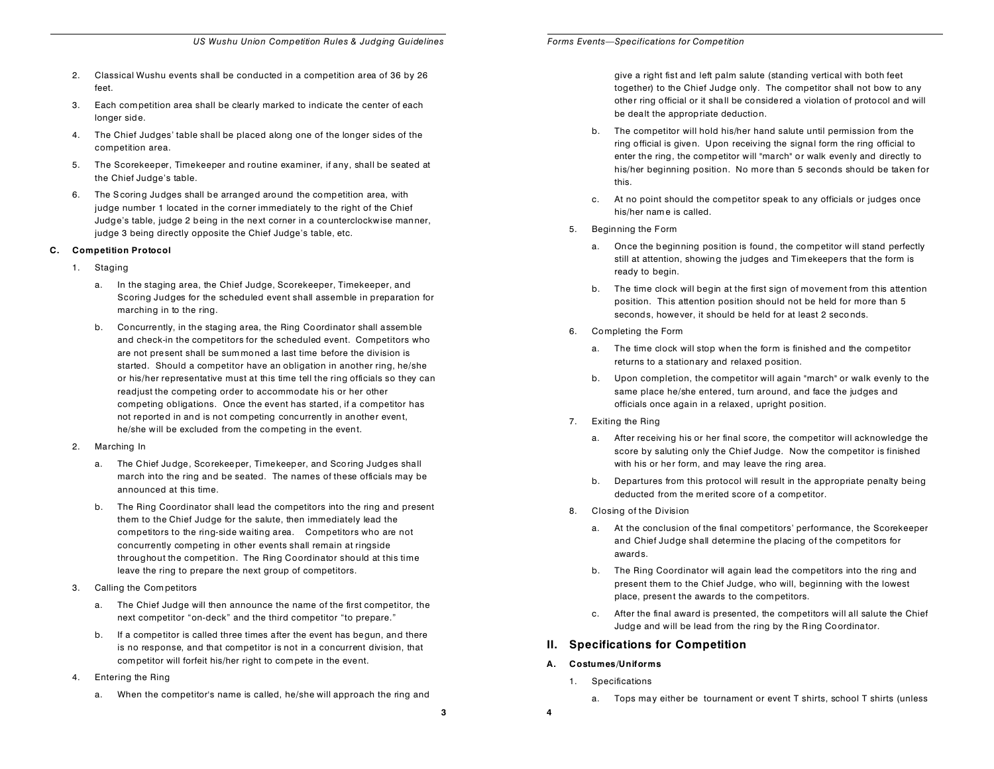- 2. Classical Wushu events shall be conducted in a competition area of 36 by 26 feet.
- 3. Each competition area shall be clearly marked to indicate the center of each longer side.
- 4. The Chief Judges' table shall be placed along one of the longer sides of the competition area.
- 5. The Scorekeeper, Timekeeper and routine examiner, if any, shall be seated at the Chief Judge's table.
- 6. The Scoring Judges shall be arranged around the competition area, with judge number 1 located in the corner immediately to the right of the Chief Judge's table, judge 2 being in the next corner in a counterclockwise manner, judge 3 being directly opposite the Chief Judge's table, etc.

### **C. Competition Protocol**

- 1. Staging
	- a. In the staging area, the Chief Judge, Scorekeeper, Timekeeper, and Scoring Judges for the scheduled event shall assemble in preparation for marching in to the ring.
	- b. Concurrently, in the staging area, the Ring Coordinator shall assemble and check-in the competitors for the scheduled event. Competitors who are not present shall be sum moned a last time before the division is started. Should a competitor have an obligation in another ring, he/she or his/her representative must at this time tell the ring officials so they can readjust the competing order to accommodate his or her other competing obligations. Once the event has started, if a competitor has not reported in and is not competing concurrently in another event, he/she will be excluded from the competing in the event.
- 2. Marching In
	- a. The C hief Judge, Scorekeeper, Timekeeper, and Scoring Judges shall march into the ring and be seated. The names of these officials may be announced at this time.
	- b. The Ring Coordinator shall lead the competitors into the ring and present them to the Chief Judge for the salute, then immediately lead the competitors to the ring-side waiting area. Competitors who are not concurrently competing in other events shall remain at ringside throughout the competition. The Ring Coordinator should at this time leave the ring to prepare the next group of competitors.
- 3. Calling the Com petitors
	- a. The Chief Judge will then announce the name of the first competitor, the next competitor "on-deck" and the third competitor "to prepare."
	- b. If a competitor is called three times after the event has begun, and there is no response, and that competitor is not in a concurrent division, that competitor will forfeit his/her right to com pete in the event.
- 4. Entering the Ring
	- a. When the competitor's name is called, he/she will approach the ring and

give a right fist and left palm salute (standing vertical with both feet together) to the Chief Judge only. The competitor shall not bow to any other ring official or it shall be considered a violation of protocol and will be dealt the appropriate deduction.

- b. The competitor will hold his/her hand salute until permission from the ring official is given. Upon receiving the signal form the ring official to enter the ring, the competitor will "march" or walk evenly and directly to his/her beginning position. No more than 5 seconds should be taken for this.
- c. At no point should the competitor speak to any officials or judges once his/her name is called.
- 5. Beginning the Form
	- a. Once the beginning position is found, the competitor will stand perfectly still at attention, showing the judges and Timekeepers that the form is ready to begin.
	- b. The time clock will begin at the first sign of movement from this attention position. This attention position should not be held for more than 5 seconds, however, it should be held for at least 2 seconds.
- 6. Completing the Form
	- a. The time clock will stop when the form is finished and the competitor returns to a stationary and relaxed position.
	- b. Upon completion, the competitor will again "march" or walk evenly to the same place he/she entered, turn around, and face the judges and officials once again in a relaxed, upright position.
- 7. Exiting the Ring
	- a. After receiving his or her final score, the competitor will acknowledge the score by saluting only the Chief Judge. Now the competitor is finished with his or her form, and may leave the ring area.
	- b. Departures from this protocol will result in the appropriate penalty being deducted from the merited score of a competitor.
- 8. Closing of the Division
	- a. At the conclusion of the final competitors' performance, the Scorekeeper and Chief Judge shall determine the placing of the competitors for awards.
	- b. The Ring Coordinator will again lead the competitors into the ring and present them to the Chief Judge, who will, beginning with the lowest place, present the awards to the competitors.
	- c. After the final award is presented, the competitors will all salute the Chief Judge and will be lead from the ring by the Ring Coordinator.

# **II. Specifications for Competition**

# **A. Costumes/Uniforms**

**4**

1. Specifications

a. Tops may either be tournament or event T shirts, school T shirts (unless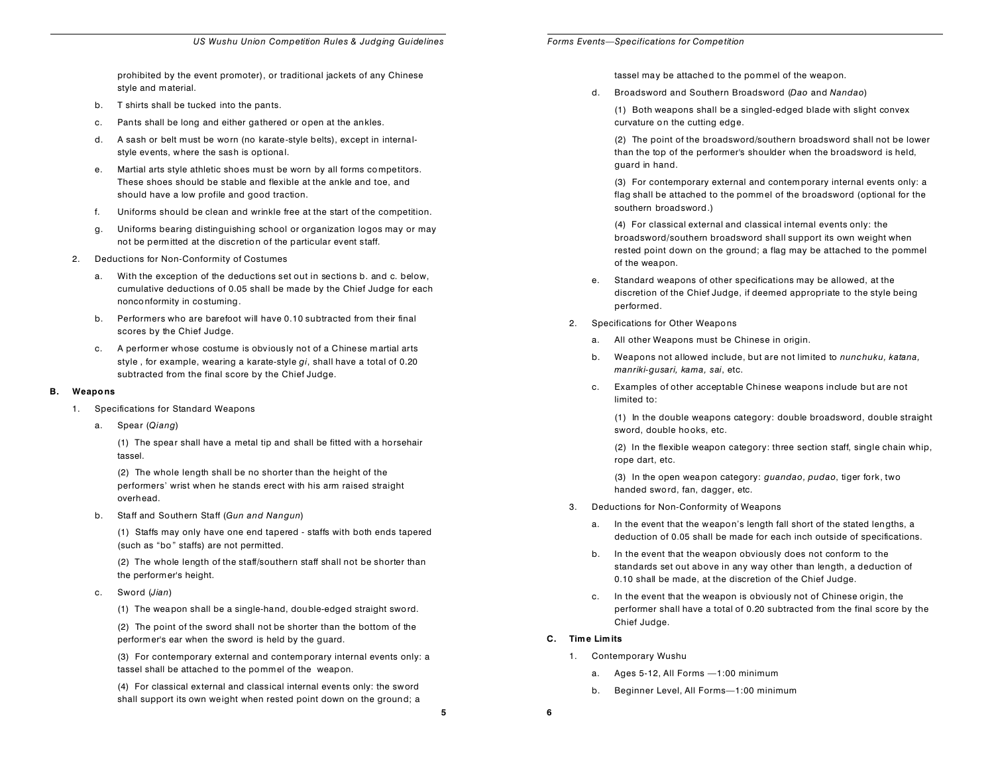prohibited by the event promoter), or traditional jackets of any Chinese style and material.

- b. T shirts shall be tucked into the pants.
- c. Pants shall be long and either gathered or open at the ankles.
- d. A sash or belt must be worn (no karate-style belts), except in internalstyle events, where the sash is optional.
- e. Martial arts style athletic shoes must be worn by all forms competitors. These shoes should be stable and flexible at the ankle and toe, and should have a low profile and good traction.
- f. Uniforms should be clean and wrinkle free at the start of the competition.
- g. Uniforms bearing distinguishing school or organization logos may or may not be permitted at the discretion of the particular event staff.
- 2. Deductions for Non-Conformity of Costumes
	- a. With the exception of the deductions set out in sections b. and c. below, cumulative deductions of 0.05 shall be made by the Chief Judge for each nonconformity in costuming.
	- b. Performers who are barefoot will have 0.10 subtracted from their final scores by the Chief Judge.
	- c. A performer whose costume is obviously not of a Chinese martial arts style , for example, wearing a karate-style *gi*, shall have a total of 0.20 subtracted from the final score by the Chief Judge.

#### **B. Weapons**

- 1. Specifications for Standard Weapons
	- a. Spear (*Qiang*)

(1) The spear shall have a metal tip and shall be fitted with a horsehair tassel.

(2) The whole length shall be no shorter than the height of the performers' wrist when he stands erect with his arm raised straight overhead.

b. Staff and Southern Staff (*Gun and Nangun*)

(1) Staffs may only have one end tapered - staffs with both ends tapered (such as "bo" staffs) are not permitted.

(2) The whole length of the staff/southern staff shall not be shorter than the performer's height.

c. Sword (*Jian*)

(1) The weapon shall be a single-hand, double-edged straight sword.

(2) The point of the sword shall not be shorter than the bottom of the performer's ear when the sword is held by the guard.

(3) For contemporary external and contemporary internal events only: a tassel shall be attached to the pommel of the weapon.

(4) For classical external and classical internal events only: the sword shall support its own weight when rested point down on the ground; a *Forms Events—Specifications for Competition*

tassel may be attached to the pommel of the weapon.

d. Broadsword and Southern Broadsword (*Dao* and *Nandao*)

(1) Both weapons shall be a singled-edged blade with slight convex curvature on the cutting edge.

(2) The point of the broadsword/southern broadsword shall not be lower than the top of the performer's shoulder when the broadsword is held, guard in hand.

(3) For contemporary external and contemporary internal events only: a flag shall be attached to the pommel of the broadsword (optional for the southern broadsword.)

(4) For classical external and classical internal events only: the broadsword/southern broadsword shall support its own weight when rested point down on the ground; a flag may be attached to the pommel of the weapon.

- e. Standard weapons of other specifications may be allowed, at the discretion of the Chief Judge, if deemed appropriate to the style being performed.
- 2. Specifications for Other Weapons
	- a. All other Weapons must be Chinese in origin.
	- b. Weapons not allowed include, but are not limited to *nunchuku, katana, manriki-gusari, kama, sai*, etc.
	- c. Examples of other acceptable Chinese weapons include but are not limited to:

(1) In the double weapons category: double broadsword, double straight sword, double hooks, etc.

(2) In the flexible weapon category: three section staff, single chain whip, rope dart, etc.

(3) In the open weapon category: *guandao, pudao*, tiger fork, two handed sword, fan, dagger, etc.

- 3. Deductions for Non-Conformity of Weapons
	- a. In the event that the weapon's length fall short of the stated lengths, a deduction of 0.05 shall be made for each inch outside of specifications.
	- b. In the event that the weapon obviously does not conform to the standards set out above in any way other than length, a deduction of 0.10 shall be made, at the discretion of the Chief Judge.
	- c. In the event that the weapon is obviously not of Chinese origin, the performer shall have a total of 0.20 subtracted from the final score by the Chief Judge.
- **C. Time Lim its**
	- 1. Contemporary Wushu
		- a. Ages 5-12, All Forms —1:00 minimum
		- b. Beginner Level, All Forms—1:00 minimum

**5**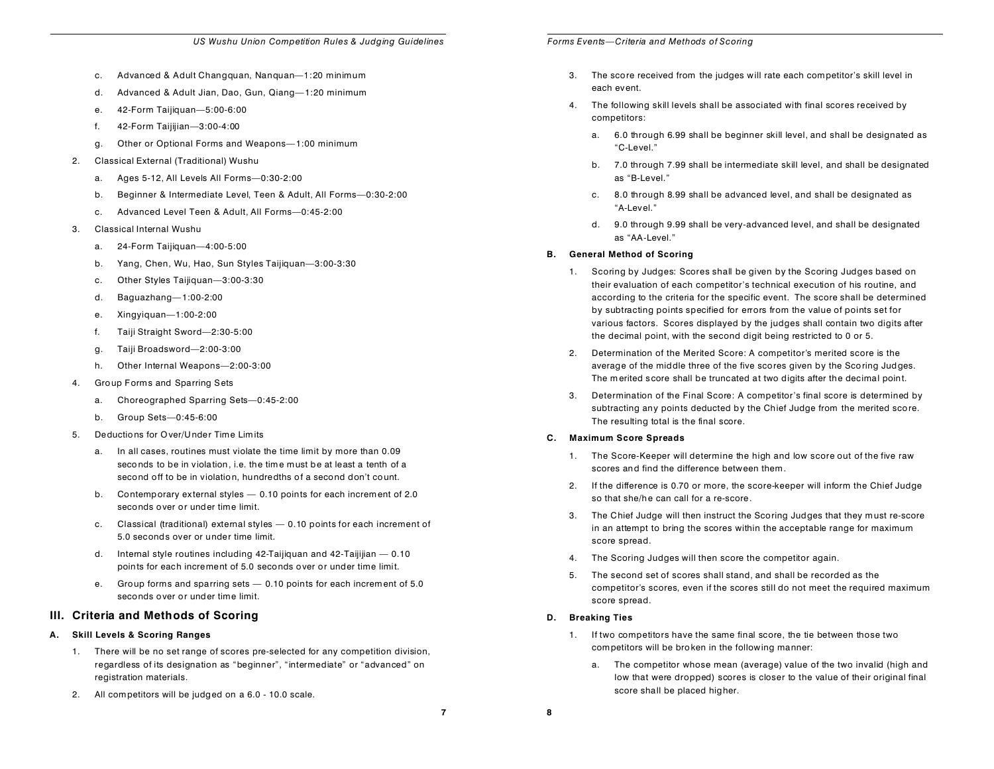#### *US Wushu Union Competition Rules & Judging Guidelines*

- c. Advanced & Adult Changquan, Nanquan—1:20 minimum
- d. Advanced & Adult Jian, Dao, Gun, Qiang—1:20 minimum
- e. 42-Form Taijiquan—5:00-6:00
- f. 42-Form Taijijian—3:00-4:00
- g. Other or Optional Forms and Weapons—1:00 minimum
- 2. Classical External (Traditional) Wushu
	- a. Ages 5-12, All Levels All Forms—0:30-2:00
	- b. Beginner & Intermediate Level, Teen & Adult, All Forms—0:30-2:00
	- c. Advanced Level Teen & Adult, All Forms—0:45-2:00
- 3. Classical Internal Wushu
	- a. 24-Form Taijiquan—4:00-5:00
	- b. Yang, Chen, Wu, Hao, Sun Styles Taijiquan—3:00-3:30
	- c. Other Styles Taijiquan—3:00-3:30
	- d. Baguazhang—1:00-2:00
	- e. Xingyiquan—1:00-2:00
	- f. Taiji Straight Sword—2:30-5:00
	- g. Taiji Broadsword—2:00-3:00
	- h. Other Internal Weapons—2:00-3:00
- 4. Group Forms and Sparring Sets
	- a. Choreographed Sparring Sets—0:45-2:00
	- b. Group Sets—0:45-6:00
- 5. Deductions for Over/U nder Time Limits
	- a. In all cases, routines must violate the time limit by more than 0.09 seconds to be in violation, i.e. the time must be at least a tenth of a second off to be in violation, hundredths of a second don't count.
	- b. Contemporary external styles  $-0.10$  points for each increment of 2.0 seconds over or under time limit.
	- c. Classical (traditional) external styles 0.10 points for each increment of 5.0 seconds over or under time limit.
	- d. Internal style routines including 42-Taijiquan and 42-Taijijian 0.10 points for each increment of 5.0 seconds over or under time limit.
	- e. Group forms and sparring sets 0.10 points for each increment of 5.0 seconds over or under time limit.

# **III. Criteria and Methods of Scoring**

#### **A. Skill Levels & Scoring Ranges**

- 1. There will be no set range of scores pre-selected for any competition division, regardless of its designation as "beginner", "intermediate" or "advanced" on registration materials.
- 2. All competitors will be judged on a 6.0 10.0 scale.

*Forms Events—Criteria and Methods of Scoring*

- 3. The score received from the judges will rate each competitor's skill level in each event.
- 4. The following skill levels shall be associated with final scores received by competitors:
	- a. 6.0 through 6.99 shall be beginner skill level, and shall be designated as "C-Level."
	- b. 7.0 through 7.99 shall be intermediate skill level, and shall be designated as "B-Level."
	- c. 8.0 through 8.99 shall be advanced level, and shall be designated as "A-Level."
	- d. 9.0 through 9.99 shall be very-advanced level, and shall be designated as "AA-Level."

## **B. General Method of Scoring**

- 1. Scoring by Judges: Scores shall be given by the Scoring Judges based on their evaluation of each competitor's technical execution of his routine, and according to the criteria for the specific event. The score shall be determined by subtracting points specified for errors from the value of points set for various factors. Scores displayed by the judges shall contain two digits after the decimal point, with the second digit being restricted to 0 or 5.
- 2. Determination of the Merited Score: A competitor's merited score is the average of the middle three of the five scores given by the Scoring Judges. The merited score shall be truncated at two digits after the decimal point.
- 3. Determination of the Final Score: A competitor's final score is determined by subtracting any points deducted by the Chief Judge from the merited score. The resulting total is the final score.

#### **C. Maximum Score Spreads**

- 1. The Score-Keeper will determine the high and low score out of the five raw scores and find the difference between them .
- 2. If the difference is 0.70 or more, the score-keeper will inform the Chief Judge so that she/he can call for a re-score.
- 3. The Chief Judge will then instruct the Scoring Judges that they m ust re-score in an attempt to bring the scores within the acceptable range for maximum score spread.
- 4. The Scoring Judges will then score the competitor again.
- 5. The second set of scores shall stand, and shall be recorded as the competitor's scores, even if the scores still do not meet the required maximum score spread.
- **D. Breaking Ties**
	- 1. If two competitors have the same final score, the tie between those two competitors will be broken in the following manner:
		- a. The competitor whose mean (average) value of the two invalid (high and low that were dropped) scores is closer to the value of their original final score shall be placed higher.

**7**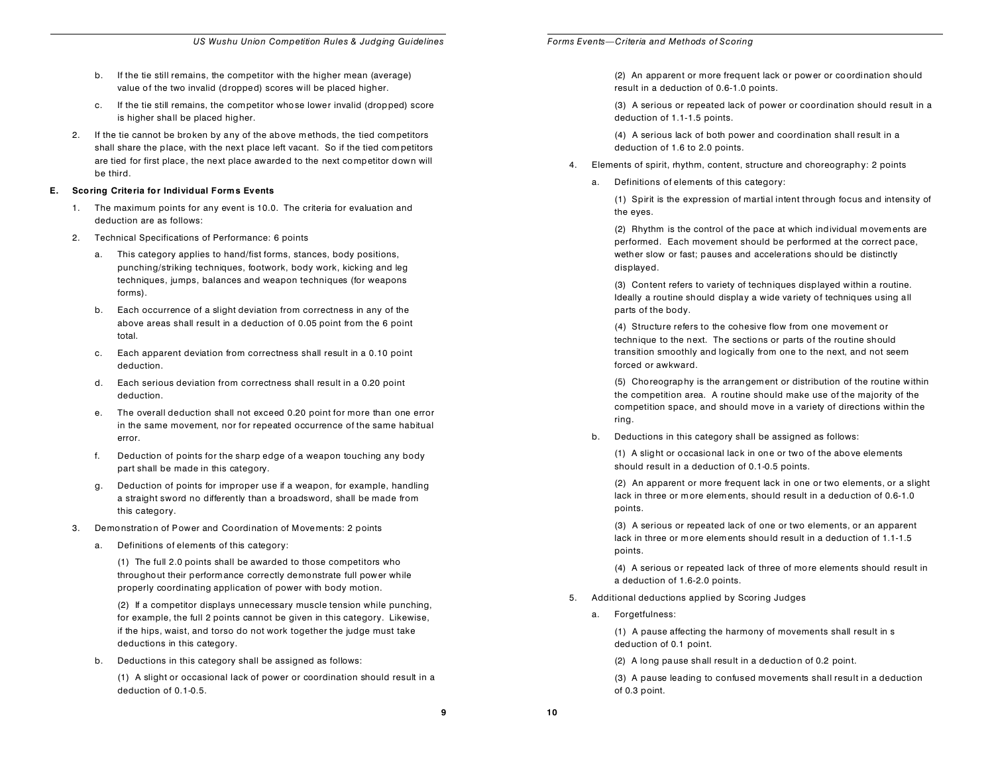- b. If the tie still remains, the competitor with the higher mean (average) value of the two invalid (dropped) scores will be placed higher.
- c. If the tie still remains, the competitor whose lower invalid (dropped) score is higher shall be placed higher.
- 2. If the tie cannot be broken by any of the above m ethods, the tied competitors shall share the place, with the next place left vacant. So if the tied competitors are tied for first place, the next place awarded to the next competitor down will be third.

#### **E. Scoring Criteria for Individual Form s Events**

- 1. The maximum points for any event is 10.0. The criteria for evaluation and deduction are as follows:
- 2. Technical Specifications of Performance: 6 points
	- a. This category applies to hand/fist forms, stances, body positions, punching/striking techniques, footwork, body work, kicking and leg techniques, jumps, balances and weapon techniques (for weapons forms).
	- b. Each occurrence of a slight deviation from correctness in any of the above areas shall result in a deduction of 0.05 point from the 6 point total.
	- c. Each apparent deviation from correctness shall result in a 0.10 point deduction.
	- d. Each serious deviation from correctness shall result in a 0.20 point deduction.
	- e. The overall deduction shall not exceed 0.20 point for more than one error in the same movement, nor for repeated occurrence of the same habitual error.
	- f. Deduction of points for the sharp edge of a weapon touching any body part shall be made in this category.
	- g. Deduction of points for improper use if a weapon, for example, handling a straight sword no differently than a broadsword, shall be made from this category.
- 3. Demonstration of Power and Coordination of Movements: 2 points
	- a. Definitions of elements of this category:

(1) The full 2.0 points shall be awarded to those competitors who throughout their perform ance correctly demonstrate full power while properly coordinating application of power with body motion.

(2) If a competitor displays unnecessary muscle tension while punching, for example, the full 2 points cannot be given in this category. Likewise, if the hips, waist, and torso do not work together the judge must take deductions in this category.

b. Deductions in this category shall be assigned as follows:

(1) A slight or occasional lack of power or coordination should result in a deduction of 0.1-0.5.

(2) An apparent or more frequent lack or power or coordination should result in a deduction of 0.6-1.0 points.

(3) A serious or repeated lack of power or coordination should result in a deduction of 1.1-1.5 points.

(4) A serious lack of both power and coordination shall result in a deduction of 1.6 to 2.0 points.

- 4. Elements of spirit, rhythm, content, structure and choreography: 2 points
	- a. Definitions of elements of this category:

(1) Spirit is the expression of martial intent through focus and intensity of the eyes.

(2) Rhythm is the control of the pace at which individual movem ents are performed. Each movement should be performed at the correct pace, wether slow or fast; pauses and accelerations should be distinctly displayed.

(3) Content refers to variety of techniques displayed within a routine. Ideally a routine should display a wide variety of techniques using all parts of the body.

(4) Structure refers to the cohesive flow from one movement or technique to the next. The sections or parts of the routine should transition smoothly and logically from one to the next, and not seem forced or awkward.

(5) Choreography is the arrangement or distribution of the routine within the competition area. A routine should make use of the majority of the competition space, and should move in a variety of directions within the ring.

b. Deductions in this category shall be assigned as follows:

(1) A slight or occasional lack in one or two of the above elements should result in a deduction of 0.1-0.5 points.

(2) An apparent or more frequent lack in one or two elements, or a slight lack in three or more elements, should result in a deduction of 0.6-1.0 points.

(3) A serious or repeated lack of one or two elements, or an apparent lack in three or more elements should result in a deduction of 1.1-1.5 points.

(4) A serious or repeated lack of three of more elements should result in a deduction of 1.6-2.0 points.

- 5. Additional deductions applied by Scoring Judges
	- a. Forgetfulness:

(1) A pause affecting the harmony of movements shall result in s deduction of 0.1 point.

(2) A long pause shall result in a deduction of 0.2 point.

(3) A pause leading to confused movements shall result in a deduction of 0.3 point.

**10**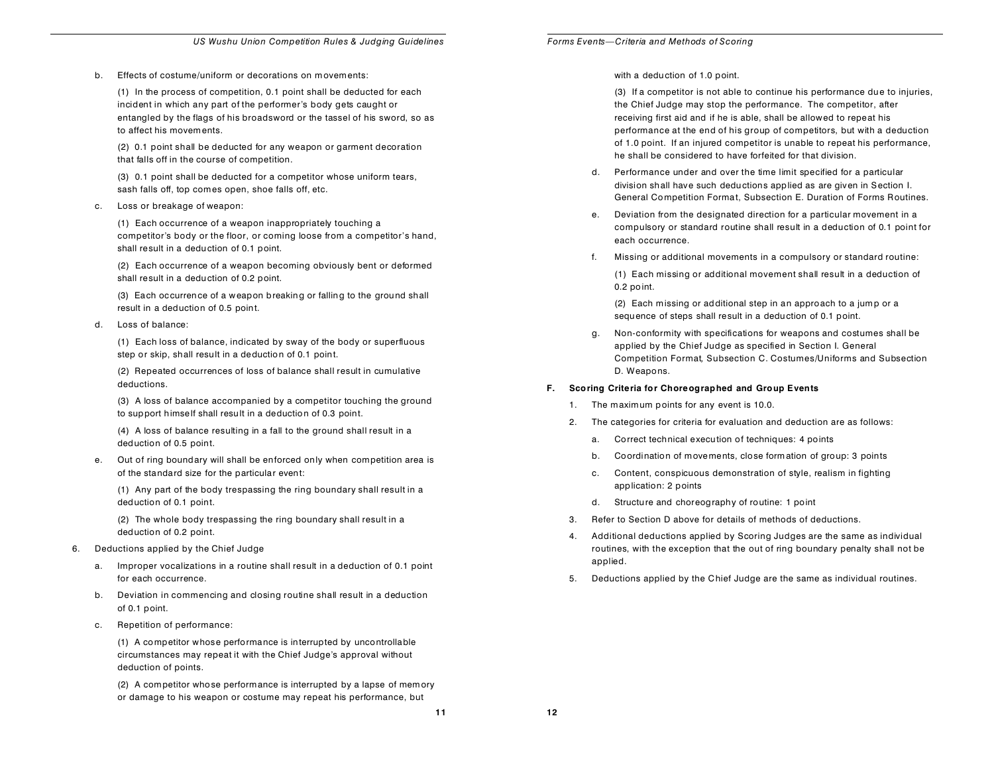(1) In the process of competition, 0.1 point shall be deducted for each incident in which any part of the performer's body gets caught or entangled by the flags of his broadsword or the tassel of his sword, so as to affect his movements.

(2) 0.1 point shall be deducted for any weapon or garment decoration that falls off in the course of competition.

(3) 0.1 point shall be deducted for a competitor whose uniform tears, sash falls off, top comes open, shoe falls off, etc.

c. Loss or breakage of weapon:

(1) Each occurrence of a weapon inappropriately touching a competitor's body or the floor, or coming loose from a competitor's hand, shall result in a deduction of 0.1 point.

(2) Each occurrence of a weapon becoming obviously bent or deformed shall result in a deduction of 0.2 point.

(3) Each occurrence of a weapon breaking or falling to the ground shall result in a deduction of 0.5 point.

d. Loss of balance:

(1) Each loss of balance, indicated by sway of the body or superfluous step or skip, shall result in a deduction of 0.1 point.

(2) Repeated occurrences of loss of balance shall result in cumulative deductions.

(3) A loss of balance accompanied by a competitor touching the ground to support himself shall result in a deduction of 0.3 point.

(4) A loss of balance resulting in a fall to the ground shall result in a deduction of 0.5 point.

e. Out of ring boundary will shall be enforced only when competition area is of the standard size for the particular event:

(1) Any part of the body trespassing the ring boundary shall result in a deduction of 0.1 point.

(2) The whole body trespassing the ring boundary shall result in a deduction of 0.2 point.

- 6. Deductions applied by the Chief Judge
	- a. Improper vocalizations in a routine shall result in a deduction of 0.1 point for each occurrence.
	- b. Deviation in commencing and closing routine shall result in a deduction of 0.1 point.
	- c. Repetition of performance:

(1) A competitor whose performance is interrupted by uncontrollable circumstances may repeat it with the Chief Judge's approval without deduction of points.

(2) A competitor whose performance is interrupted by a lapse of mem ory or damage to his weapon or costume may repeat his performance, but

**11**

#### *Forms Events—Criteria and Methods of Scoring*

with a deduction of 1.0 point.

(3) If a competitor is not able to continue his performance due to injuries, the Chief Judge may stop the performance. The competitor, after receiving first aid and if he is able, shall be allowed to repeat his performance at the end of his group of competitors, but with a deduction of 1.0 point. If an injured competitor is unable to repeat his performance, he shall be considered to have forfeited for that division.

- d. Performance under and over the time limit specified for a particular division shall have such deductions applied as are given in Section I. General Co mpetition Format, Subsection E. Duration of Forms Routines.
- e. Deviation from the designated direction for a particular movement in a compulsory or standard routine shall result in a deduction of 0.1 point for each occurrence.
- f. Missing or additional movements in a compulsory or standard routine:

(1) Each missing or additional movement shall result in a deduction of 0.2 point.

(2) Each missing or additional step in an approach to a jump or a sequence of steps shall result in a deduction of 0.1 point.

g. Non-conformity with specifications for weapons and costumes shall be applied by the Chief Judge as specified in Section I. General Competition Format*,* Subsection C. Costumes/Uniforms and Subsection D. Weapons.

## **F. Scoring Criteria for Choreographed and Group Events**

- 1. The maximum points for any event is 10.0.
- 2. The categories for criteria for evaluation and deduction are as follows:
	- a. Correct technical execution of techniques: 4 points
	- b. Coordination of movements, close form ation of group: 3 points
	- c. Content, conspicuous demonstration of style, realism in fighting application: 2 points
	- d. Structure and choreography of routine: 1 point
- 3. Refer to Section D above for details of methods of deductions.
- 4. Additional deductions applied by Scoring Judges are the same as individual routines, with the exception that the out of ring boundary penalty shall not be applied.
- 5. Deductions applied by the Chief Judge are the same as individual routines.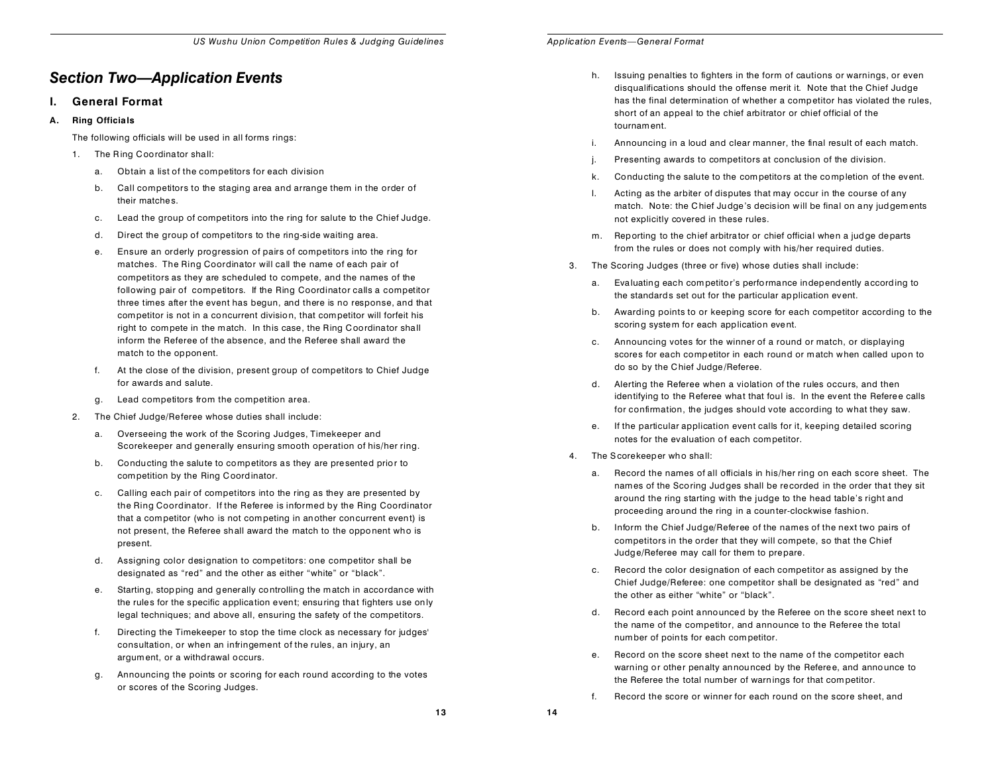# *Section Two—Application Events*

# **I. General Format**

# **A. Ring Officials**

The following officials will be used in all forms rings:

- 1. The Ring Coordinator shall:
	- a. Obtain a list of the competitors for each division
	- b. Call competitors to the staging area and arrange them in the order of their matches.
	- c. Lead the group of competitors into the ring for salute to the Chief Judge.
	- d. Direct the group of competitors to the ring-side waiting area.
	- e. Ensure an orderly progression of pairs of competitors into the ring for matches. The Ring Coordinator will call the name of each pair of competitors as they are scheduled to compete, and the names of the following pair of competitors. If the Ring Coordinator calls a competitor three times after the event has begun, and there is no response, and that competitor is not in a concurrent division, that competitor will forfeit his right to compete in the match. In this case, the Ring Coordinator shall inform the Referee of the absence, and the Referee shall award the match to the opponent.
	- f. At the close of the division, present group of competitors to Chief Judge for awards and salute.
	- g. Lead competitors from the competition area.
- 2. The Chief Judge/Referee whose duties shall include:
	- a. Overseeing the work of the Scoring Judges, Timekeeper and Scorekeeper and generally ensuring smooth operation of his/her ring.
	- b. Conducting the salute to competitors as they are presented prior to competition by the Ring Coordinator.
	- c. Calling each pair of competitors into the ring as they are presented by the Ring Coordinator. If the Referee is informed by the Ring Coordinator that a competitor (who is not competing in another concurrent event) is not present, the Referee shall award the match to the opponent who is present.
	- d. Assigning color designation to competitors: one competitor shall be designated as "red" and the other as either "white" or "black".
	- e. Starting, stopping and generally controlling the m atch in accordance with the rules for the specific application event; ensuring that fighters use only legal techniques; and above all, ensuring the safety of the competitors.
	- f. Directing the Timekeeper to stop the time clock as necessary for judges' consultation, or when an infringement of the rules, an injury, an argument, or a withdrawal occurs.
	- g. Announcing the points or scoring for each round according to the votes or scores of the Scoring Judges.
- h. Issuing penalties to fighters in the form of cautions or warnings, or even disqualifications should the offense merit it. Note that the Chief Judge has the final determination of whether a competitor has violated the rules, short of an appeal to the chief arbitrator or chief official of the tournam ent.
- i. Announcing in a loud and clear manner, the final result of each match.
- Presenting awards to competitors at conclusion of the division.
- k. Conducting the salute to the competitors at the completion of the event.
- l. Acting as the arbiter of disputes that may occur in the course of any match. Note: the C hief Judge's decision will be final on any judgements not explicitly covered in these rules.
- m. Reporting to the chief arbitrator or chief official when a judge departs from the rules or does not comply with his/her required duties.
- 3. The Scoring Judges (three or five) whose duties shall include:
	- a. Evaluating each com petitor's performance independently according to the standards set out for the particular application event.
	- b. Awarding points to or keeping score for each competitor according to the scoring system for each application event.
	- c. Announcing votes for the winner of a round or match, or displaying scores for each competitor in each round or m atch when called upon to do so by the Chief Judge/Referee.
	- d. Alerting the Referee when a violation of the rules occurs, and then identifying to the Referee what that foul is. In the event the Referee calls for confirmation, the judges should vote according to what they saw.
	- e. If the particular application event calls for it, keeping detailed scoring notes for the evaluation of each competitor.
- 4. The Scorekeeper who shall:
	- Record the names of all officials in his/her ring on each score sheet. The names of the Scoring Judges shall be recorded in the order that they sit around the ring starting with the judge to the head table's right and proceeding around the ring in a counter-clockwise fashion.
	- b. Inform the Chief Judge/Referee of the names of the next two pairs of competitors in the order that they will compete, so that the Chief Judge/Referee may call for them to prepare.
	- c. Record the color designation of each competitor as assigned by the Chief Judge/Referee: one competitor shall be designated as "red" and the other as either "white" or "black".
	- d. Record each point announced by the Referee on the score sheet next to the name of the competitor, and announce to the Referee the total number of points for each com petitor.
	- e. Record on the score sheet next to the name of the competitor each warning or other penalty announced by the Referee, and announce to the Referee the total number of warnings for that com petitor.
	- f. Record the score or winner for each round on the score sheet, and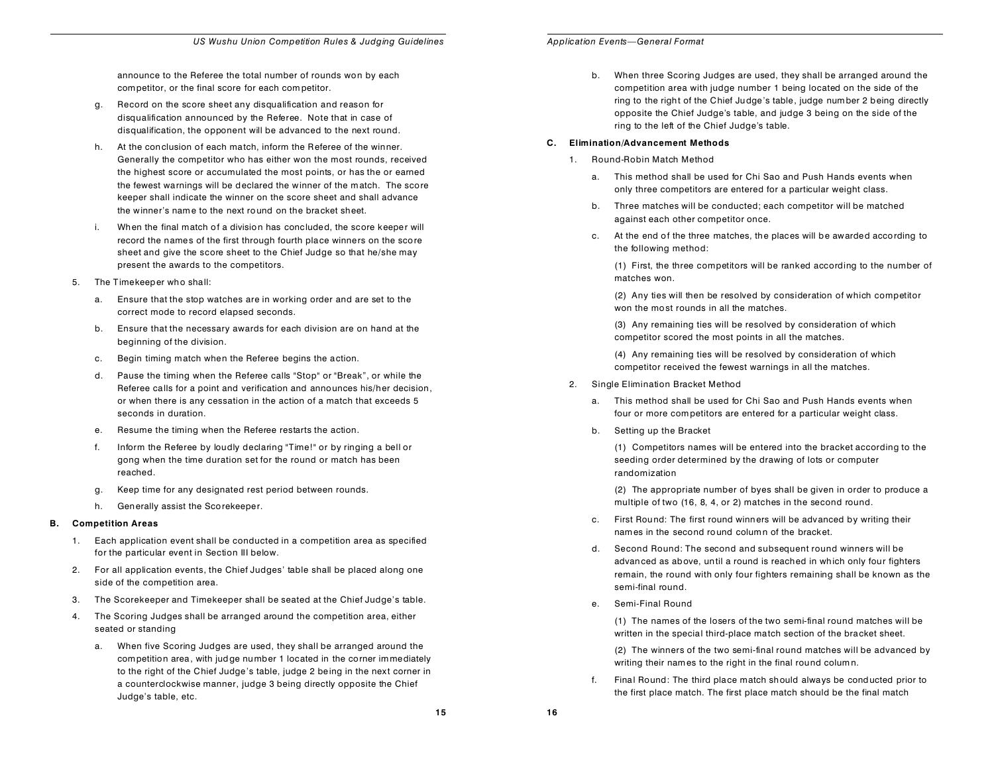#### *Application Events—General Format*

announce to the Referee the total number of rounds won by each competitor, or the final score for each com petitor.

- g. Record on the score sheet any disqualification and reason for disqualification announced by the Referee. Note that in case of disqualification, the opponent will be advanced to the next round.
- h. At the conclusion of each match, inform the Referee of the winner. Generally the competitor who has either won the most rounds, received the highest score or accumulated the most points, or has the or earned the fewest warnings will be declared the winner of the match. The score keeper shall indicate the winner on the score sheet and shall advance the winner's nam e to the next round on the bracket sheet.
- i. When the final match of a division has concluded, the score keeper will record the names of the first through fourth place winners on the score sheet and give the score sheet to the Chief Judge so that he/she may present the awards to the competitors.
- 5. The Timekeeper who shall:
	- a. Ensure that the stop watches are in working order and are set to the correct mode to record elapsed seconds.
	- b. Ensure that the necessary awards for each division are on hand at the beginning of the division.
	- c. Begin timing match when the Referee begins the action.
	- d. Pause the timing when the Referee calls "Stop" or "Break", or while the Referee calls for a point and verification and announces his/her decision, or when there is any cessation in the action of a match that exceeds 5 seconds in duration.
	- e. Resume the timing when the Referee restarts the action.
	- f. Inform the Referee by loudly declaring "Time!" or by ringing a bell or gong when the time duration set for the round or match has been reached.
	- g. Keep time for any designated rest period between rounds.
	- h. Generally assist the Scorekeeper.

#### **B. Competition Areas**

- 1. Each application event shall be conducted in a competition area as specified for the particular event in Section III below.
- 2. For all application events, the Chief Judges' table shall be placed along one side of the competition area.
- 3. The Scorekeeper and Timekeeper shall be seated at the Chief Judge's table.
- 4. The Scoring Judges shall be arranged around the competition area, either seated or standing
	- a. When five Scoring Judges are used, they shall be arranged around the competition area, with judge number 1 located in the corner immediately to the right of the Chief Judge's table, judge 2 being in the next corner in a counterclockwise manner, judge 3 being directly opposite the Chief Judge's table, etc.

b. When three Scoring Judges are used, they shall be arranged around the competition area with judge number 1 being located on the side of the ring to the right of the Chief Judge's table, judge number 2 being directly opposite the Chief Judge's table, and judge 3 being on the side of the ring to the left of the Chief Judge's table.

#### **C. Elimination/Advancement Methods**

- 1. Round-Robin Match Method
	- a. This method shall be used for Chi Sao and Push Hands events when only three competitors are entered for a particular weight class.
	- b. Three matches will be conducted; each competitor will be matched against each other competitor once.
	- c. At the end of the three matches, the places will be awarded according to the following method:

(1) First, the three competitors will be ranked according to the number of matches won.

(2) Any ties will then be resolved by consideration of which competitor won the most rounds in all the matches.

(3) Any remaining ties will be resolved by consideration of which competitor scored the most points in all the matches.

(4) Any remaining ties will be resolved by consideration of which competitor received the fewest warnings in all the matches.

- 2. Single Elimination Bracket Method
	- a. This method shall be used for Chi Sao and Push Hands events when four or more competitors are entered for a particular weight class.
	- b. Setting up the Bracket

(1) Competitors names will be entered into the bracket according to the seeding order determined by the drawing of lots or computer randomization

(2) The appropriate number of byes shall be given in order to produce a multiple of two (16, 8, 4, or 2) matches in the second round.

- c. First Round: The first round winners will be advanced by writing their names in the second round colum n of the bracket.
- d. Second Round: The second and subsequent round winners will be advanced as above, until a round is reached in which only four fighters remain, the round with only four fighters remaining shall be known as the semi-final round.
- e. Semi-Final Round

(1) The names of the losers of the two semi-final round matches will be written in the special third-place match section of the bracket sheet.

(2) The winners of the two semi-final round matches will be advanced by writing their nam es to the right in the final round colum n.

f. Final Round: The third place match should always be conducted prior to the first place match. The first place match should be the final match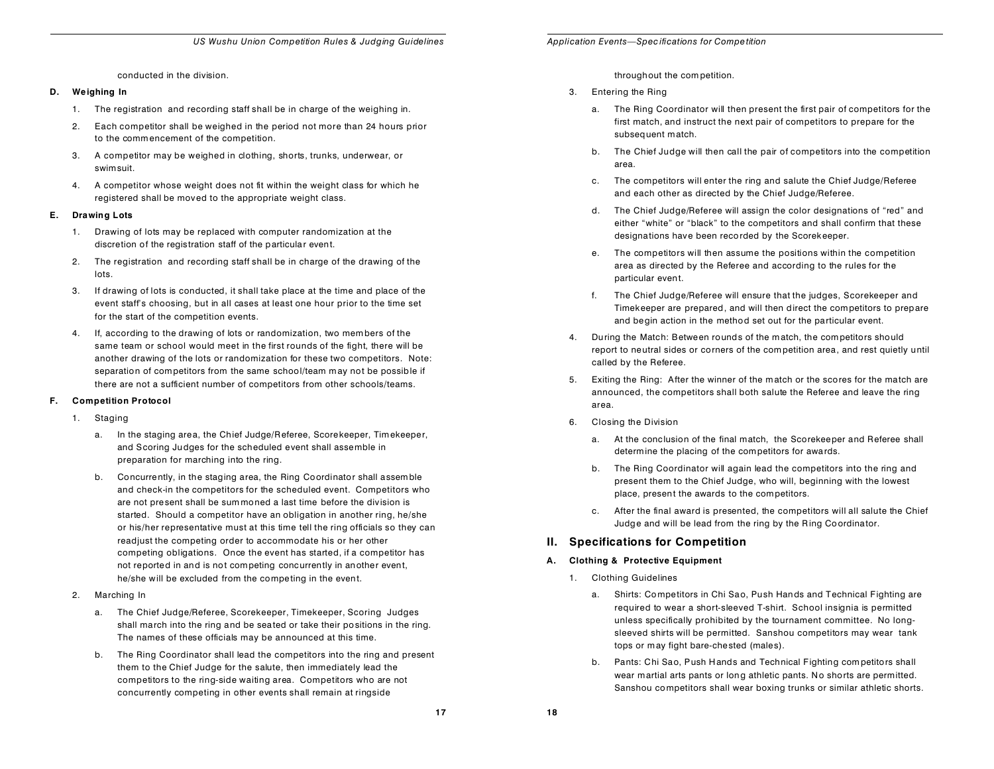conducted in the division.

#### **D. Weighing In**

- 1. The registration and recording staff shall be in charge of the weighing in.
- 2. Each competitor shall be weighed in the period not more than 24 hours prior to the commencement of the competition.
- 3. A competitor may be weighed in clothing, shorts, trunks, underwear, or swimsuit.
- 4. A competitor whose weight does not fit within the weight class for which he registered shall be moved to the appropriate weight class.

#### **E. Drawing Lots**

- 1. Drawing of lots may be replaced with computer randomization at the discretion of the registration staff of the particular event.
- 2. The registration and recording staff shall be in charge of the drawing of the lots.
- 3. If drawing of lots is conducted, it shall take place at the time and place of the event staff's choosing, but in all cases at least one hour prior to the time set for the start of the competition events.
- 4. If, according to the drawing of lots or randomization, two members of the same team or school would meet in the first rounds of the fight, there will be another drawing of the lots or randomization for these two competitors. Note: separation of competitors from the same school/team may not be possible if there are not a sufficient number of competitors from other schools/teams.

#### **F. Competition Protocol**

- 1. Staging
	- a. In the staging area, the Chief Judge/Referee, Scorekeeper, Tim ekeeper, and Scoring Judges for the scheduled event shall assemble in preparation for marching into the ring.
	- b. Concurrently, in the staging area, the Ring Coordinator shall assemble and check-in the competitors for the scheduled event. Competitors who are not present shall be sum moned a last time before the division is started. Should a competitor have an obligation in another ring, he/she or his/her representative must at this time tell the ring officials so they can readjust the competing order to accommodate his or her other competing obligations. Once the event has started, if a competitor has not reported in and is not competing concurrently in another event, he/she will be excluded from the competing in the event.
- 2. Marching In
	- a. The Chief Judge/Referee, Scorekeeper, Timekeeper, Scoring Judges shall march into the ring and be seated or take their positions in the ring. The names of these officials may be announced at this time.
	- b. The Ring Coordinator shall lead the competitors into the ring and present them to the Chief Judge for the salute, then immediately lead the competitors to the ring-side waiting area. Competitors who are not concurrently competing in other events shall remain at ringside

throughout the com petition.

- 3. Entering the Ring
	- a. The Ring Coordinator will then present the first pair of competitors for the first match, and instruct the next pair of competitors to prepare for the subsequent match.
	- b. The Chief Judge will then call the pair of competitors into the competition area.
	- c. The competitors will enter the ring and salute the Chief Judge/Referee and each other as directed by the Chief Judge/Referee.
	- d. The Chief Judge/Referee will assign the color designations of "red" and either "white" or "black" to the competitors and shall confirm that these designations have been reco rded by the Scorekeeper.
	- e. The competitors will then assume the positions within the competition area as directed by the Referee and according to the rules for the particular event.
	- f. The Chief Judge/Referee will ensure that the judges, Scorekeeper and Timekeeper are prepared, and will then direct the competitors to prepare and begin action in the method set out for the particular event.
- 4. During the Match: Between rounds of the m atch, the com petitors should report to neutral sides or corners of the com petition area, and rest quietly until called by the Referee.
- 5. Exiting the Ring: After the winner of the match or the scores for the match are announced, the competitors shall both salute the Referee and leave the ring area.
- 6. Closing the Division
	- a. At the conclusion of the final match, the Scorekeeper and Referee shall determine the placing of the competitors for awards.
	- b. The Ring Coordinator will again lead the competitors into the ring and present them to the Chief Judge, who will, beginning with the lowest place, present the awards to the competitors.
	- c. After the final award is presented, the competitors will all salute the Chief Judge and will be lead from the ring by the Ring Coordinator.

# **II. Specifications for Competition**

#### **A. Clothing & Protective Equipment**

- 1. Clothing Guidelines
	- a. Shirts: Competitors in Chi Sao, Push Hands and Technical Fighting are required to wear a short-sleeved T-shirt. School insignia is permitted unless specifically prohibited by the tournament committee. No longsleeved shirts will be permitted. Sanshou competitors may wear tank tops or may fight bare-chested (males).
	- b. Pants: Chi Sao, Push Hands and Technical Fighting com petitors shall wear martial arts pants or long athletic pants. No shorts are permitted. Sanshou competitors shall wear boxing trunks or similar athletic shorts.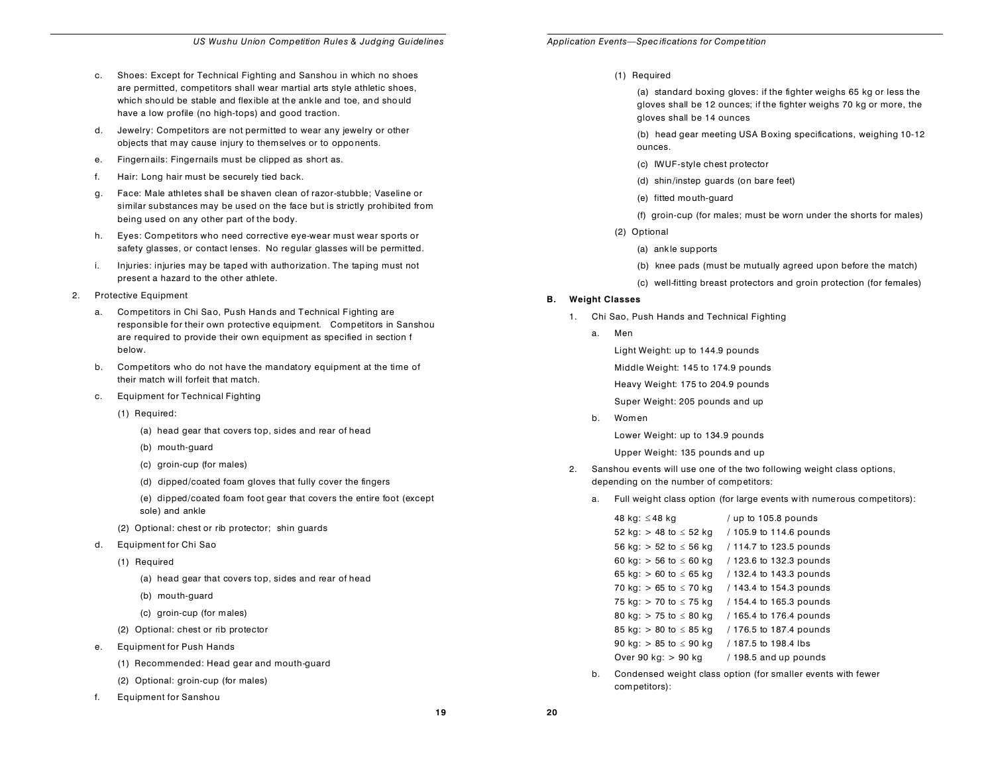# c. Shoes: Except for Technical Fighting and Sanshou in which no shoes are permitted, competitors shall wear martial arts style athletic shoes, which should be stable and flexible at the ankle and toe, and should have a low profile (no high-tops) and good traction.

- d. Jewelry: Competitors are not permitted to wear any jewelry or other objects that may cause injury to themselves or to opponents.
- e. Fingernails: Fingernails must be clipped as short as.
- f. Hair: Long hair must be securely tied back.
- g. Face: Male athletes shall be shaven clean of razor-stubble; Vaseline or similar substances may be used on the face but is strictly prohibited from being used on any other part of the body.
- h. Eyes: Competitors who need corrective eye-wear must wear sports or safety glasses, or contact lenses. No regular glasses will be permitted.
- i. Injuries: injuries may be taped with authorization. The taping must not present a hazard to the other athlete.
- 2. Protective Equipment
	- a. Competitors in Chi Sao, Push Hands and Technical Fighting are responsible for their own protective equipment. Competitors in Sanshou are required to provide their own equipment as specified in section f below.
	- b. Competitors who do not have the mandatory equipment at the time of their match will forfeit that match.
	- c. Equipment for Technical Fighting
		- (1) Required:
			- (a) head gear that covers top, sides and rear of head
			- (b) mouth-guard
			- (c) groin-cup (for males)
			- (d) dipped/coated foam gloves that fully cover the fingers
			- (e) dipped/coated foam foot gear that covers the entire foot (except sole) and ankle
		- (2) Optional: chest or rib protector; shin guards
	- d. Equipment for Chi Sao
		- (1) Required
			- (a) head gear that covers top, sides and rear of head
			- (b) mouth-guard
			- (c) groin-cup (for males)
		- (2) Optional: chest or rib protector
	- e. Equipment for Push Hands
		- (1) Recommended: Head gear and mouth-guard
		- (2) Optional: groin-cup (for males)
	- f. Equipment for Sanshou

#### *Application Events—Spec ifications for Competition*

(1) Required

(a) standard boxing gloves: if the fighter weighs 65 kg or less the gloves shall be 12 ounces; if the fighter weighs 70 kg or more, the gloves shall be 14 ounces

(b) head gear meeting USA Boxing specifications, weighing 10-12 ounces.

- (c) IWUF-style chest protector
- (d) shin/instep guards (on bare feet)
- (e) fitted mo uth-guard

(f) groin-cup (for males; must be worn under the shorts for males)

- (2) Optional
	- (a) ankle supports
	- (b) knee pads (must be mutually agreed upon before the match)
	- (c) well-fitting breast protectors and groin protection (for females)

# **B. Weight Classes**

- 1. Chi Sao, Push Hands and Technical Fighting
	- a. Men

Light Weight: up to 144.9 pounds

Middle Weight: 145 to 174.9 pounds

Heavy Weight: 175 to 204.9 pounds

- Super Weight: 205 pounds and up
- b. Women

Lower Weight: up to 134.9 pounds

Upper Weight: 135 pounds and up

- 2. Sanshou events will use one of the two following weight class options, depending on the number of competitors:
	- a. Full weight class option (for large events with numerous competitors):

| 48 kg: ≤48 kg                 | / up to 105.8 pounds    |
|-------------------------------|-------------------------|
| 52 kg: $> 48$ to $\leq$ 52 kg | / 105.9 to 114.6 pounds |
| 56 kg: $> 52$ to $\leq 56$ kg | / 114.7 to 123.5 pounds |
| 60 kg: $> 56$ to $\leq 60$ kg | / 123.6 to 132.3 pounds |
| 65 kg: $> 60$ to $\leq 65$ kg | / 132.4 to 143.3 pounds |
| 70 kg: $> 65$ to $\leq 70$ kg | / 143.4 to 154.3 pounds |
| 75 kg: $>$ 70 to $\leq$ 75 kg | / 154.4 to 165.3 pounds |
| 80 kg: $> 75$ to $\leq 80$ kg | / 165.4 to 176.4 pounds |
| 85 kg: $> 80$ to $\leq 85$ kg | / 176.5 to 187.4 pounds |
| 90 kg: $> 85$ to $\leq 90$ kg | / 187.5 to 198.4 lbs    |
| Over 90 kg: > 90 kg           | / 198.5 and up pounds   |

b. Condensed weight class option (for smaller events with fewer competitors):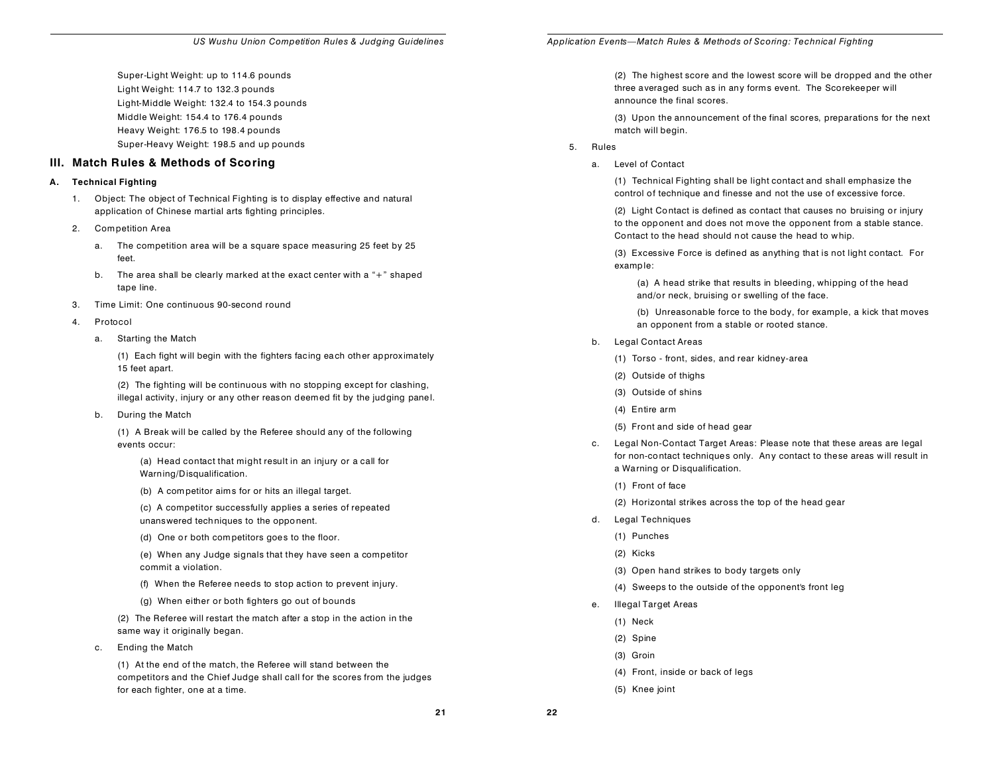Super-Light Weight: up to 114.6 pounds Light Weight: 114.7 to 132.3 pounds Light-Middle Weight: 132.4 to 154.3 pounds Middle Weight: 154.4 to 176.4 pounds Heavy Weight: 176.5 to 198.4 pounds Super-Heavy Weight: 198.5 and up pounds

# **III. Match Rules & Methods of Scoring**

#### **A. Technical Fighting**

- 1. Object: The object of Technical Fighting is to display effective and natural application of Chinese martial arts fighting principles.
- 2. Competition Area
	- a. The competition area will be a square space measuring 25 feet by 25 feet.
	- b. The area shall be clearly marked at the exact center with a "+" shaped tape line.
- 3. Time Limit: One continuous 90-second round
- 4. Protocol
	- a. Starting the Match

(1) Each fight will begin with the fighters facing each other approx imately 15 feet apart.

(2) The fighting will be continuous with no stopping except for clashing, illegal activity, injury or any other reason deemed fit by the judging panel.

b. During the Match

(1) A Break will be called by the Referee should any of the following events occur:

(a) Head contact that might result in an injury or a call for Warning/Disqualification.

(b) A competitor aims for or hits an illegal target.

(c) A competitor successfully applies a series of repeated unanswered techniques to the opponent.

(d) One or both com petitors goes to the floor.

(e) When any Judge signals that they have seen a competitor commit a violation.

- (f) When the Referee needs to stop action to prevent injury.
- (g) When either or both fighters go out of bounds

(2) The Referee will restart the match after a stop in the action in the same way it originally began.

c. Ending the Match

(1) At the end of the match, the Referee will stand between the competitors and the Chief Judge shall call for the scores from the judges for each fighter, one at a time.

(2) The highest score and the lowest score will be dropped and the other three averaged such as in any forms event. The Scorekeeper will announce the final scores.

(3) Upon the announcement of the final scores, preparations for the next match will begin.

- 5. Rules
	- a. Level of Contact

(1) Technical Fighting shall be light contact and shall emphasize the control of technique and finesse and not the use of excessive force.

(2) Light Contact is defined as contact that causes no bruising or injury to the opponent and does not move the opponent from a stable stance. Contact to the head should not cause the head to whip.

(3) Excessive Force is defined as anything that is not light contact. For example:

(a) A head strike that results in bleeding, whipping of the head and/or neck, bruising or swelling of the face.

(b) Unreasonable force to the body, for example, a kick that moves an opponent from a stable or rooted stance.

- b. Legal Contact Areas
	- (1) Torso front, sides, and rear kidney-area
	- (2) Outside of thighs
	- (3) Outside of shins
	- (4) Entire arm
	- (5) Front and side of head gear
- c. Legal Non-Contact Target Areas: Please note that these areas are legal for non-contact techniques only. Any contact to these areas will result in a Warning or Disqualification.
	- (1) Front of face
	- (2) Horizontal strikes across the top of the head gear
- d. Legal Techniques
	- (1) Punches
	- (2) Kicks
	- (3) Open hand strikes to body targets only
	- (4) Sweeps to the outside of the opponent's front leg
- e. Illegal Target Areas
	- (1) Neck
	- (2) Spine
	- (3) Groin
	- (4) Front, inside or back of legs
	- (5) Knee joint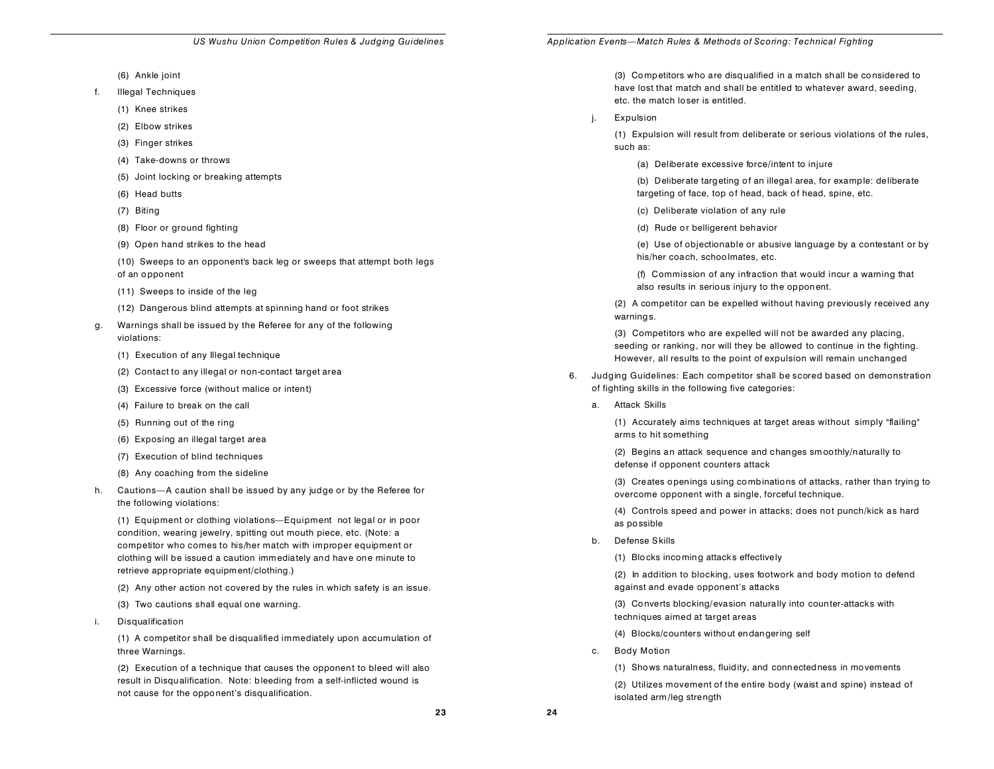(6) Ankle joint

f. Illegal Techniques

(1) Knee strikes

- (2) Elbow strikes
- (3) Finger strikes
- (4) Take-downs or throws
- (5) Joint locking or breaking attempts
- (6) Head butts
- (7) Biting
- (8) Floor or ground fighting
- (9) Open hand strikes to the head
- (10) Sweeps to an opponent's back leg or sweeps that attempt both legs of an opponent
- (11) Sweeps to inside of the leg
- (12) Dangerous blind attempts at spinning hand or foot strikes
- g. Warnings shall be issued by the Referee for any of the following violations:
	- (1) Execution of any Illegal technique
	- (2) Contact to any illegal or non-contact target area
	- (3) Excessive force (without malice or intent)
	- (4) Failure to break on the call
	- (5) Running out of the ring
	- (6) Exposing an illegal target area
	- (7) Execution of blind techniques
	- (8) Any coaching from the sideline
- h. Cautions—A caution shall be issued by any judge or by the Referee for the following violations:

(1) Equipment or clothing violations—Equipment not legal or in poor condition, wearing jewelry, spitting out mouth piece, etc. (Note: a competitor who comes to his/her match with improper equipment or clothing will be issued a caution immediately and have one minute to retrieve appropriate equipment/clothing.)

- (2) Any other action not covered by the rules in which safety is an issue.
- (3) Two cautions shall equal one warning.
- i. Disqualification

(1) A competitor shall be disqualified immediately upon accumulation of three Warnings.

(2) Execution of a technique that causes the opponent to bleed will also result in Disqualification. Note: bleeding from a self-inflicted wound is not cause for the opponent's disqualification.

*Application Events—Match Rules & Methods of Scoring: Technical Fighting*

(3) Competitors who are disqualified in a match shall be considered to have lost that match and shall be entitled to whatever award, seeding, etc. the match loser is entitled.

Expulsion

(1) Expulsion will result from deliberate or serious violations of the rules, such as:

(a) Deliberate excessive force/intent to injure

(b) Deliberate targeting of an illegal area, for example: deliberate targeting of face, top of head, back of head, spine, etc.

- (c) Deliberate violation of any rule
- (d) Rude or belligerent behavior

(e) Use of objectionable or abusive language by a contestant or by his/her coach, schoolmates, etc.

(f) Commission of any infraction that would incur a warning that also results in serious injury to the opponent.

(2) A competitor can be expelled without having previously received any warnings.

(3) Competitors who are expelled will not be awarded any placing, seeding or ranking, nor will they be allowed to continue in the fighting. However, all results to the point of expulsion will remain unchanged

- 6. Judging Guidelines: Each competitor shall be scored based on demonstration of fighting skills in the following five categories:
	- a. Attack Skills

(1) Accurately aims techniques at target areas without simply "flailing" arms to hit something

(2) Begins an attack sequence and changes sm oothly/naturally to defense if opponent counters attack

(3) Creates openings using co mbinations of attacks, rather than trying to overcome opponent with a single, forceful technique.

(4) Controls speed and power in attacks; does not punch/kick as hard as possible

b. Defense Skills

(1) Blocks inco ming attacks effectively

(2) In addition to blocking, uses footwork and body motion to defend against and evade opponent's attacks

(3) Converts blocking/evasion naturally into counter-attacks with techniques aimed at target areas

- (4) Blocks/counters without endangering self
- c. Body Motion
	- (1) Shows naturalness, fluidity, and connectedness in movements

(2) Utilizes movement of the entire body (waist and spine) instead of isolated arm /leg strength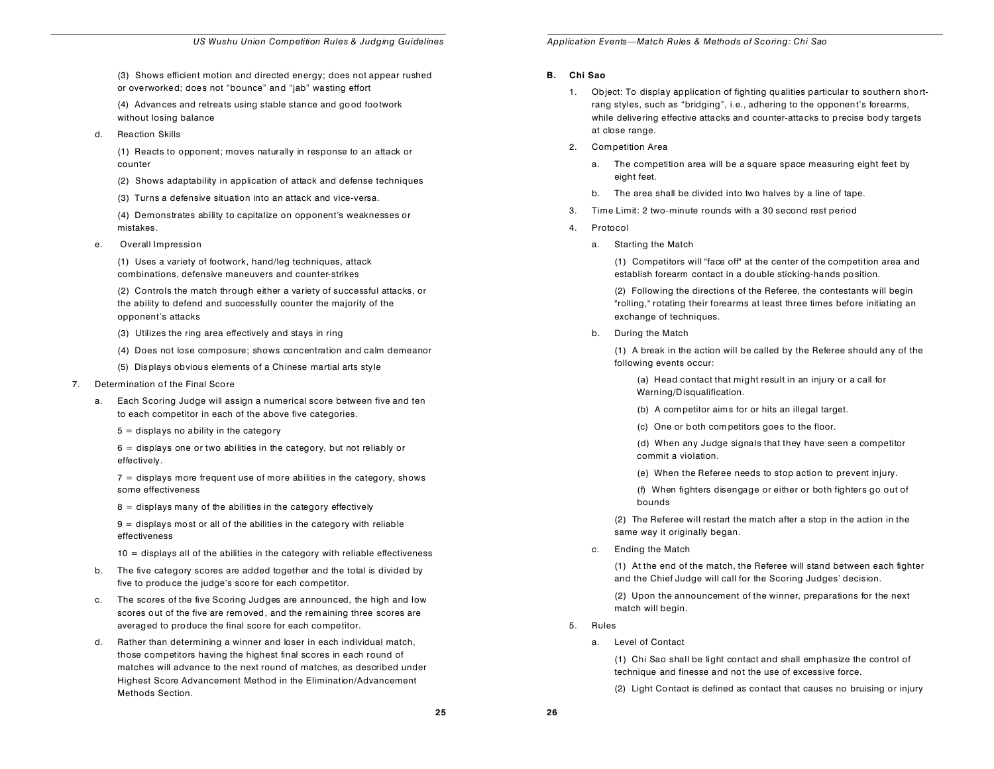(3) Shows efficient motion and directed energy; does not appear rushed or overworked; does not "bounce" and "jab" wasting effort

(4) Advances and retreats using stable stance and good footwork without losing balance

d. Reaction Skills

(1) Reacts to opponent; moves naturally in response to an attack or counter

(2) Shows adaptability in application of attack and defense techniques

(3) Turns a defensive situation into an attack and vice-versa.

(4) Demonstrates ability to capitalize on opponent's weaknesses or mistakes.

e. Overall Impression

(1) Uses a variety of footwork, hand/leg techniques, attack combinations, defensive maneuvers and counter-strikes

(2) Controls the match through either a variety of successful attacks, or the ability to defend and successfully counter the majority of the opponent's attacks

- (3) Utilizes the ring area effectively and stays in ring
- (4) Does not lose composure; shows concentration and calm demeanor
- (5) Displays obvious elements of a Chinese martial arts style
- 7. Determ ination of the Final Score
	- a. Each Scoring Judge will assign a numerical score between five and ten to each competitor in each of the above five categories.
		- $5 =$  displays no ability in the category

 $6 =$  displays one or two abilities in the category, but not reliably or effectively.

 $7 =$  displays more frequent use of more abilities in the category, shows some effectiveness

 $8 =$  displays many of the abilities in the category effectively

 $9 =$  displays most or all of the abilities in the category with reliable effectiveness

- $10 =$  displays all of the abilities in the category with reliable effectiveness
- b. The five category scores are added together and the total is divided by five to produce the judge's score for each competitor.
- c. The scores of the five Scoring Judges are announced, the high and low scores out of the five are removed, and the remaining three scores are averaged to produce the final score for each competitor.
- d. Rather than determining a winner and loser in each individual match, those competitors having the highest final scores in each round of matches will advance to the next round of matches, as described under Highest Score Advancement Method in the Elimination/Advancement Methods Section.

*Application Events—Match Rules & Methods of Scoring: Chi Sao*

## **B. Chi Sao**

- 1. Object: To display application of fighting qualities particular to southern shortrang styles, such as "bridging", i.e., adhering to the opponent's forearms, while delivering effective attacks and counter-attacks to precise body targets at close range.
- 2. Competition Area
	- a. The competition area will be a square space measuring eight feet by eight feet.
	- b. The area shall be divided into two halves by a line of tape.
- 3. Time Limit: 2 two-minute rounds with a 30 second rest period
- 4. Protocol
	- a. Starting the Match

(1) Competitors will "face off" at the center of the competition area and establish forearm contact in a double sticking-hands position.

(2) Following the directions of the Referee, the contestants will begin "rolling," rotating their forearms at least three times before initiating an exchange of techniques.

b. During the Match

(1) A break in the action will be called by the Referee should any of the following events occur:

(a) Head contact that might result in an injury or a call for Warning/Disqualification.

- (b) A competitor aims for or hits an illegal target.
- (c) One or both com petitors goes to the floor.

(d) When any Judge signals that they have seen a competitor commit a violation.

(e) When the Referee needs to stop action to prevent injury.

(f) When fighters disengage or either or both fighters go out of bounds

(2) The Referee will restart the match after a stop in the action in the same way it originally began.

c. Ending the Match

(1) At the end of the match, the Referee will stand between each fighter and the Chief Judge will call for the Scoring Judges' decision.

(2) Upon the announcement of the winner, preparations for the next match will begin.

- 5. Rules
	- a. Level of Contact

(1) Chi Sao shall be light contact and shall emphasize the control of technique and finesse and not the use of excessive force.

(2) Light Contact is defined as contact that causes no bruising or injury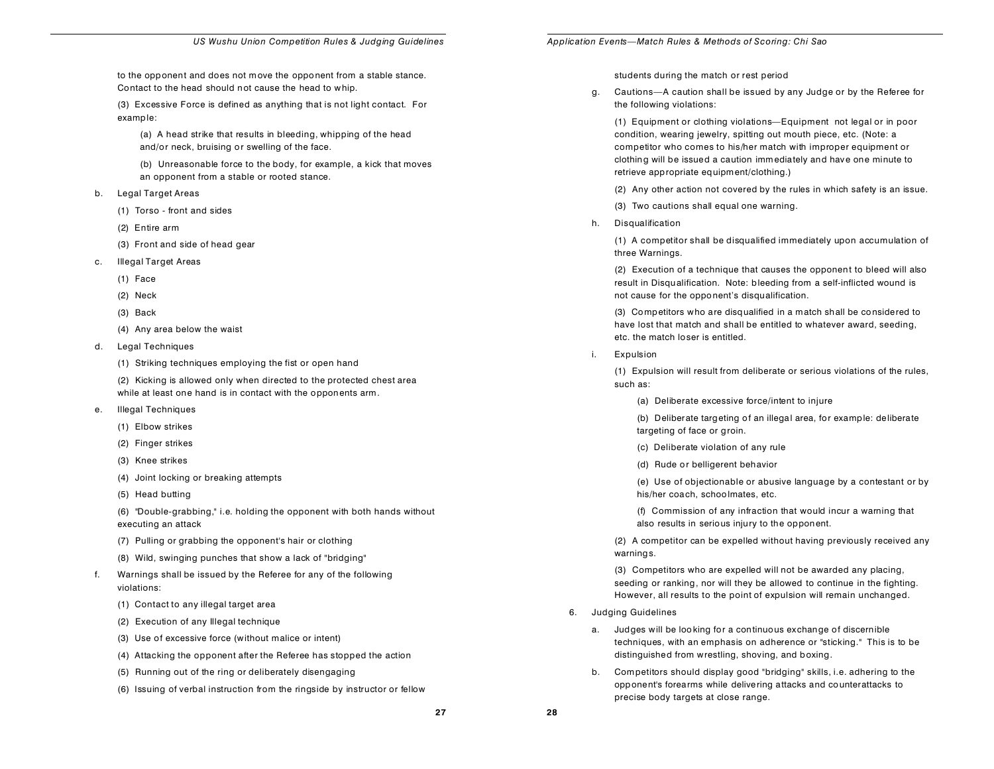to the opponent and does not move the opponent from a stable stance. Contact to the head should not cause the head to whip.

(3) Excessive Force is defined as anything that is not light contact. For example:

(a) A head strike that results in bleeding, whipping of the head and/or neck, bruising or swelling of the face.

(b) Unreasonable force to the body, for example, a kick that moves an opponent from a stable or rooted stance.

- b. Legal Target Areas
	- (1) Torso front and sides
	- (2) Entire arm
	- (3) Front and side of head gear
- c. Illegal Target Areas
	- (1) Face
	- (2) Neck
	- (3) Back
	- (4) Any area below the waist
- d. Legal Techniques
	- (1) Striking techniques employing the fist or open hand

(2) Kicking is allowed only when directed to the protected chest area while at least one hand is in contact with the opponents arm.

- e. Illegal Techniques
	- (1) Elbow strikes
	- (2) Finger strikes
	- (3) Knee strikes
	- (4) Joint locking or breaking attempts
	- (5) Head butting

(6) "Double-grabbing," i.e. holding the opponent with both hands without executing an attack

- (7) Pulling or grabbing the opponent's hair or clothing
- (8) Wild, swinging punches that show a lack of "bridging"
- f. Warnings shall be issued by the Referee for any of the following violations:
	- (1) Contact to any illegal target area
	- (2) Execution of any Illegal technique
	- (3) Use of excessive force (without malice or intent)
	- (4) Attacking the opponent after the Referee has stopped the action
	- (5) Running out of the ring or deliberately disengaging
	- (6) Issuing of verbal instruction from the ringside by instructor or fellow

*Application Events—Match Rules & Methods of Scoring: Chi Sao*

students during the match or rest period

g. Cautions—A caution shall be issued by any Judge or by the Referee for the following violations:

(1) Equipment or clothing violations—Equipment not legal or in poor condition, wearing jewelry, spitting out mouth piece, etc. (Note: a competitor who comes to his/her match with improper equipment or clothing will be issued a caution immediately and have one minute to retrieve appropriate equipment/clothing.)

(2) Any other action not covered by the rules in which safety is an issue.

- (3) Two cautions shall equal one warning.
- h. Disqualification

(1) A competitor shall be disqualified immediately upon accumulation of three Warnings.

(2) Execution of a technique that causes the opponent to bleed will also result in Disqualification. Note: bleeding from a self-inflicted wound is not cause for the opponent's disqualification.

(3) Competitors who are disqualified in a match shall be considered to have lost that match and shall be entitled to whatever award, seeding, etc. the match loser is entitled.

i. Expulsion

(1) Expulsion will result from deliberate or serious violations of the rules, such as:

(a) Deliberate excessive force/intent to injure

(b) Deliberate targeting of an illegal area, for example: deliberate targeting of face or groin.

- (c) Deliberate violation of any rule
- (d) Rude or belligerent behavior

(e) Use of objectionable or abusive language by a contestant or by his/her coach, schoolmates, etc.

(f) Commission of any infraction that would incur a warning that also results in serious injury to the opponent.

(2) A competitor can be expelled without having previously received any warnings.

(3) Competitors who are expelled will not be awarded any placing, seeding or ranking, nor will they be allowed to continue in the fighting. However, all results to the point of expulsion will remain unchanged.

- 6. Judging Guidelines
	- a. Judges will be loo king for a continuous exchange of discernible techniques, with an emphasis on adherence or "sticking." This is to be distinguished from wrestling, shoving, and boxing.
	- b. Competitors should display good "bridging" skills, i.e. adhering to the opponent's forearms while delivering attacks and counterattacks to precise body targets at close range.

**27**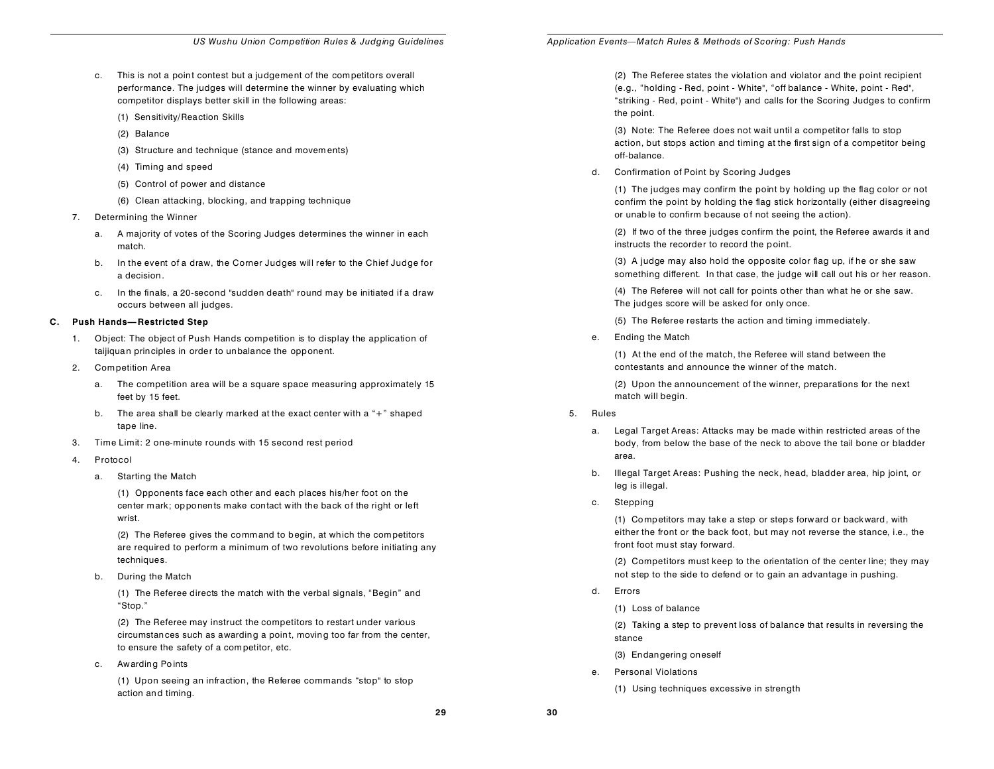- c. This is not a point contest but a judgement of the competitors overall performance. The judges will determine the winner by evaluating which competitor displays better skill in the following areas:
	- (1) Sensitivity/Reaction Skills
	- (2) Balance
	- (3) Structure and technique (stance and movem ents)
	- (4) Timing and speed
	- (5) Control of power and distance
	- (6) Clean attacking, blocking, and trapping technique
- 7. Determining the Winner
	- a. A majority of votes of the Scoring Judges determines the winner in each match.
	- b. In the event of a draw, the Corner Judges will refer to the Chief Judge for a decision.
	- c. In the finals, a 20-second "sudden death" round may be initiated if a draw occurs between all judges.

#### **C. Push Hands—Restricted Step**

- 1. Object: The object of Push Hands competition is to display the application of taijiquan principles in order to unbalance the opponent.
- 2. Competition Area
	- a. The competition area will be a square space measuring approximately 15 feet by 15 feet.
	- b. The area shall be clearly marked at the exact center with a "+" shaped tape line.
- 3. Time Limit: 2 one-minute rounds with 15 second rest period
- 4. Protocol
	- a. Starting the Match

(1) Opponents face each other and each places his/her foot on the center mark; opponents make contact with the back of the right or left wrist.

(2) The Referee gives the command to begin, at which the competitors are required to perform a minimum of two revolutions before initiating any techniques.

b. During the Match

(1) The Referee directs the match with the verbal signals, "Begin" and "Stop."

(2) The Referee may instruct the competitors to restart under various circumstances such as awarding a point, moving too far from the center, to ensure the safety of a competitor, etc.

c. Awarding Points

(1) Upon seeing an infraction, the Referee commands "stop" to stop action and timing.

(2) The Referee states the violation and violator and the point recipient (e.g., "holding - Red, point - White", "off balance - White, point - Red", "striking - Red, point - White") and calls for the Scoring Judges to confirm the point.

(3) Note: The Referee does not wait until a competitor falls to stop action, but stops action and timing at the first sign of a competitor being off-balance.

d. Confirmation of Point by Scoring Judges

(1) The judges may confirm the point by holding up the flag color or not confirm the point by holding the flag stick horizontally (either disagreeing or unable to confirm because of not seeing the action).

(2) If two of the three judges confirm the point, the Referee awards it and instructs the recorder to record the point.

(3) A judge may also hold the opposite color flag up, if he or she saw something different. In that case, the judge will call out his or her reason.

(4) The Referee will not call for points other than what he or she saw. The judges score will be asked for only once.

- (5) The Referee restarts the action and timing immediately.
- e. Ending the Match

(1) At the end of the match, the Referee will stand between the contestants and announce the winner of the match.

(2) Upon the announcement of the winner, preparations for the next match will begin.

- 5. Rules
	- a. Legal Target Areas: Attacks may be made within restricted areas of the body, from below the base of the neck to above the tail bone or bladder area.
	- b. Illegal Target Areas: Pushing the neck, head, bladder area, hip joint, or leg is illegal.
	- c. Stepping

(1) Competitors m ay take a step or steps forward or backward, with either the front or the back foot, but may not reverse the stance, i.e., the front foot must stay forward.

(2) Competitors must keep to the orientation of the center line; they may not step to the side to defend or to gain an advantage in pushing.

- d. Errors
	- (1) Loss of balance

(2) Taking a step to prevent loss of balance that results in reversing the stance

- (3) Endangering oneself
- e. Personal Violations
	- (1) Using techniques excessive in strength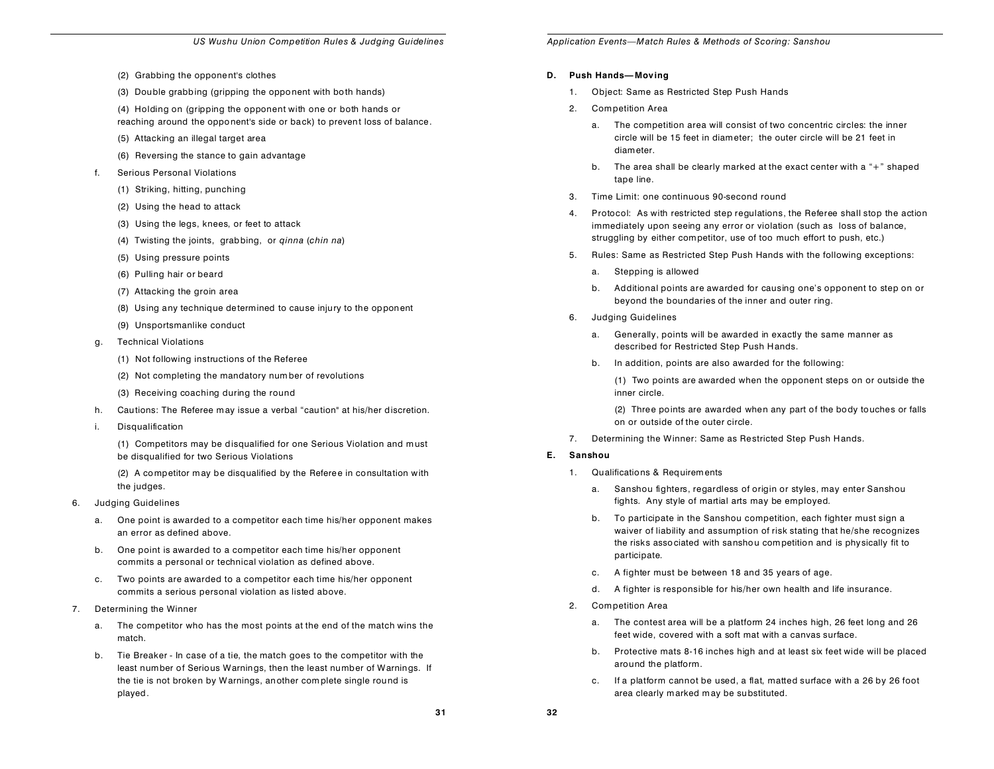- (2) Grabbing the opponent's clothes
- (3) Double grabbing (gripping the opponent with both hands)

(4) Holding on (gripping the opponent with one or both hands or reaching around the opponent's side or back) to prevent loss of balance.

- (5) Attacking an illegal target area
- (6) Reversing the stance to gain advantage
- f. Serious Personal Violations
	- (1) Striking, hitting, punching
	- (2) Using the head to attack
	- (3) Using the legs, knees, or feet to attack
	- (4) Twisting the joints, grabbing, or *qinna* (*chin na*)
	- (5) Using pressure points
	- (6) Pulling hair or beard
	- (7) Attacking the groin area
	- (8) Using any technique determined to cause injury to the opponent
	- (9) Unsportsmanlike conduct
- g. Technical Violations
	- (1) Not following instructions of the Referee
	- (2) Not completing the mandatory num ber of revolutions
	- (3) Receiving coaching during the round
- h. Cautions: The Referee may issue a verbal "caution" at his/her discretion.
- i. Disqualification

(1) Competitors may be disqualified for one Serious Violation and must be disqualified for two Serious Violations

(2) A competitor may be disqualified by the Referee in consultation with the judges.

- 6. Judging Guidelines
	- a. One point is awarded to a competitor each time his/her opponent makes an error as defined above.
	- b. One point is awarded to a competitor each time his/her opponent commits a personal or technical violation as defined above.
	- c. Two points are awarded to a competitor each time his/her opponent commits a serious personal violation as listed above.
- 7. Determining the Winner
	- a. The competitor who has the most points at the end of the match wins the match.
	- b. Tie Breaker In case of a tie, the match goes to the competitor with the least number of Serious Warnings, then the least number of Warnings. If the tie is not broken by Warnings, another com plete single round is played.

*Application Events—M atch Rules & Methods of Scoring: Sanshou*

#### **D. Push Hands—Mov ing**

- 1. Object: Same as Restricted Step Push Hands
- 2. Competition Area
	- a. The competition area will consist of two concentric circles: the inner circle will be 15 feet in diameter; the outer circle will be 21 feet in diameter.
	- b. The area shall be clearly marked at the exact center with a "+" shaped tape line.
- 3. Time Limit: one continuous 90-second round
- 4. Protocol: As with restricted step regulations, the Referee shall stop the action immediately upon seeing any error or violation (such as loss of balance, struggling by either competitor, use of too much effort to push, etc.)
- 5. Rules: Same as Restricted Step Push Hands with the following exceptions:
	- a. Stepping is allowed
	- b. Additional points are awarded for causing one's opponent to step on or beyond the boundaries of the inner and outer ring.
- 6. Judging Guidelines
	- a. Generally, points will be awarded in exactly the same manner as described for Restricted Step Push Hands.
	- b. In addition, points are also awarded for the following:

(1) Two points are awarded when the opponent steps on or outside the inner circle.

(2) Three points are awarded when any part of the body touches or falls on or outside of the outer circle.

- 7. Determining the Winner: Same as Restricted Step Push Hands.
- **E. Sanshou**
	- 1. Qualifications & Requirem ents
		- a. Sanshou fighters, regardless of origin or styles, may enter Sanshou fights. Any style of martial arts may be employed.
		- b. To participate in the Sanshou competition, each fighter must sign a waiver of liability and assumption of risk stating that he/she recognizes the risks associated with sanshou com petition and is physically fit to participate.
		- c. A fighter must be between 18 and 35 years of age.
		- d. A fighter is responsible for his/her own health and life insurance.
	- 2. Competition Area
		- a. The contest area will be a platform 24 inches high, 26 feet long and 26 feet wide, covered with a soft mat with a canvas surface.
		- b. Protective mats 8-16 inches high and at least six feet wide will be placed around the platform.
		- c. If a platform cannot be used, a flat, matted surface with a 26 by 26 foot area clearly m arked may be substituted.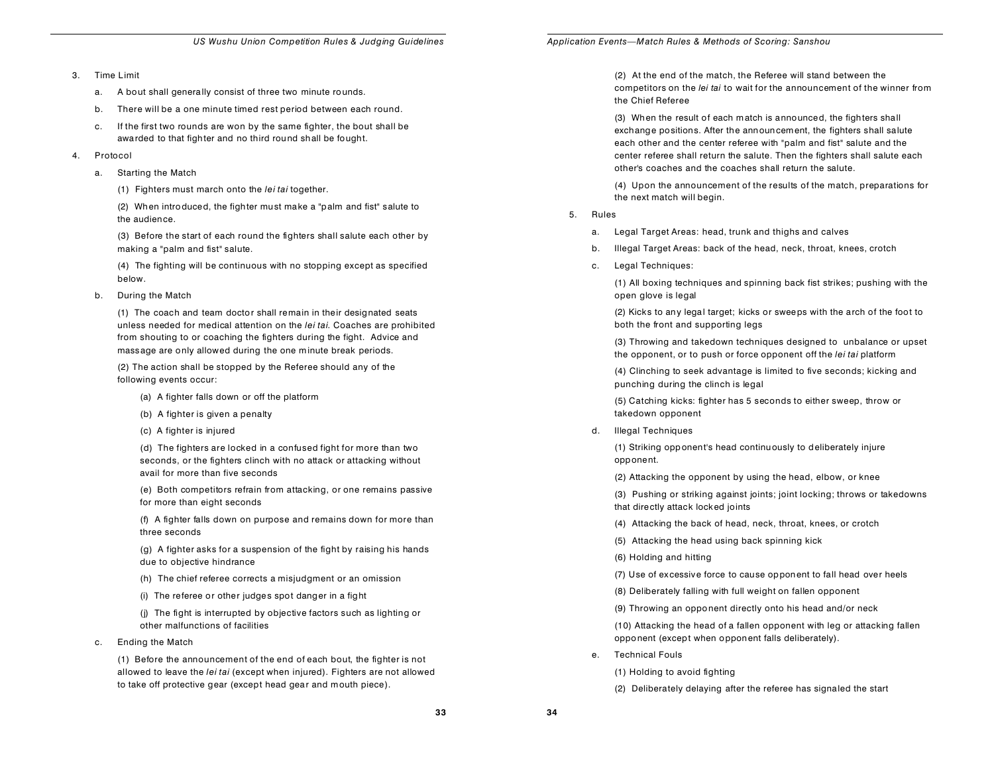#### 3. Time Limit

- a. A bout shall generally consist of three two minute rounds.
- b. There will be a one minute timed rest period between each round.
- c. If the first two rounds are won by the same fighter, the bout shall be awarded to that fighter and no third round shall be fought.

#### 4. Protocol

- a. Starting the Match
	- (1) Fighters must march onto the *lei tai* together.

(2) When introduced, the fighter must make a "palm and fist" salute to the audience.

(3) Before the start of each round the fighters shall salute each other by making a "palm and fist" salute.

(4) The fighting will be continuous with no stopping except as specified below.

#### b. During the Match

(1) The coach and team doctor shall remain in their designated seats unless needed for medical attention on the *lei tai*. Coaches are prohibited from shouting to or coaching the fighters during the fight. Advice and massage are only allowed during the one minute break periods.

(2) The action shall be stopped by the Referee should any of the following events occur:

- (a) A fighter falls down or off the platform
- (b) A fighter is given a penalty
- (c) A fighter is injured

(d) The fighters are locked in a confused fight for more than two seconds, or the fighters clinch with no attack or attacking without avail for more than five seconds

(e) Both competitors refrain from attacking, or one remains passive for more than eight seconds

(f) A fighter falls down on purpose and remains down for more than three seconds

(g) A fighter asks for a suspension of the fight by raising his hands due to objective hindrance

- (h) The chief referee corrects a misjudgment or an omission
- (i) The referee or other judges spot danger in a fight

(j) The fight is interrupted by objective factors such as lighting or other malfunctions of facilities

c. Ending the Match

(1) Before the announcement of the end of each bout, the fighter is not allowed to leave the *lei tai* (except when injured). Fighters are not allowed to take off protective gear (except head gear and mouth piece).

(2) At the end of the match, the Referee will stand between the competitors on the *lei tai* to wait for the announcement of the winner from the Chief Referee

(3) When the result of each m atch is announced, the fighters shall exchange positions. After the announcement, the fighters shall salute each other and the center referee with "palm and fist" salute and the center referee shall return the salute. Then the fighters shall salute each other's coaches and the coaches shall return the salute.

(4) Upon the announcement of the results of the match, preparations for the next match will begin.

- 5. Rules
	- a. Legal Target Areas: head, trunk and thighs and calves
	- b. Illegal Target Areas: back of the head, neck, throat, knees, crotch
	- c. Legal Techniques:

(1) All boxing techniques and spinning back fist strikes; pushing with the open glove is legal

(2) Kicks to any legal target; kicks or sweeps with the arch of the foot to both the front and supporting legs

(3) Throwing and takedown techniques designed to unbalance or upset the opponent, or to push or force opponent off the *lei tai* platform

(4) Clinching to seek advantage is limited to five seconds; kicking and punching during the clinch is legal

(5) Catching kicks: fighter has 5 seconds to either sweep, throw or takedown opponent

d. Illegal Techniques

(1) Striking opponent's head continuously to deliberately injure opponent.

(2) Attacking the opponent by using the head, elbow, or knee

(3) Pushing or striking against joints; joint locking; throws or takedowns that directly attack locked joints

- (4) Attacking the back of head, neck, throat, knees, or crotch
- (5) Attacking the head using back spinning kick
- (6) Holding and hitting

(7) Use of ex cessive force to cause opponent to fall head over heels

(8) Deliberately falling with full weight on fallen opponent

(9) Throwing an opponent directly onto his head and/or neck

(10) Attacking the head of a fallen opponent with leg or attacking fallen opponent (except when opponent falls deliberately).

- e. Technical Fouls
	- (1) Holding to avoid fighting
	- (2) Deliberately delaying after the referee has signaled the start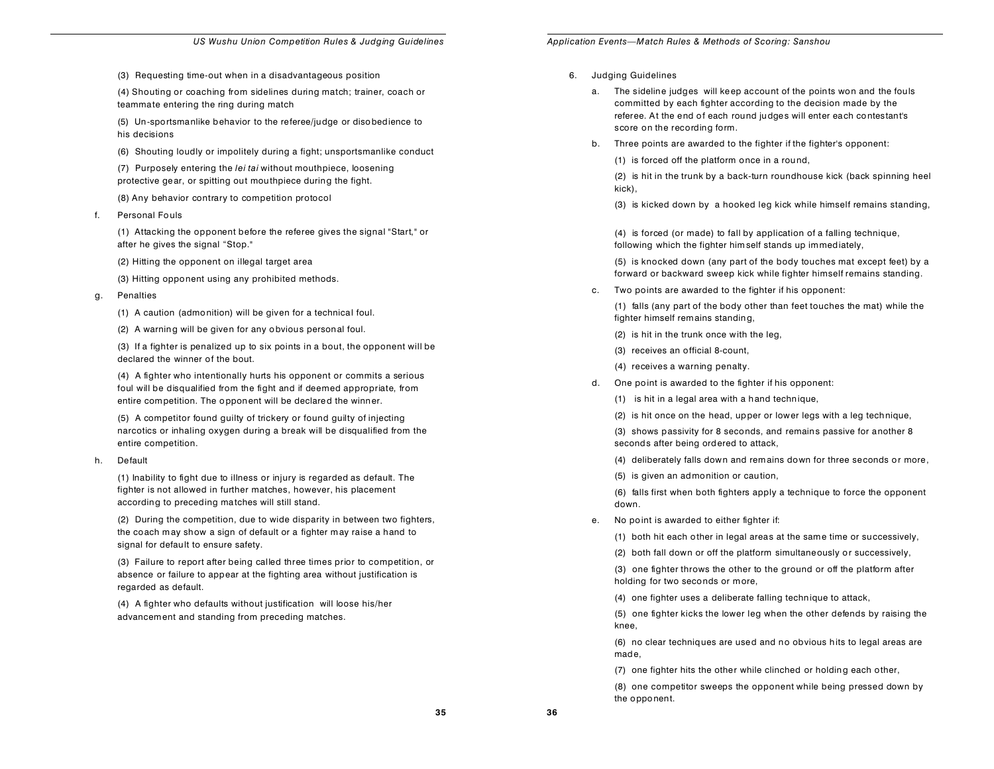#### *US Wushu Union Competition Rules & Judging Guidelines*

(3) Requesting time-out when in a disadvantageous position

(4) Shouting or coaching from sidelines during match; trainer, coach or teammate entering the ring during match

(5) Un-sportsmanlike behavior to the referee/judge or disobedience to his decisions

(6) Shouting loudly or impolitely during a fight; unsportsmanlike conduct

(7) Purposely entering the *lei tai* without mouthpiece, loosening protective gear, or spitting out mouthpiece during the fight.

(8) Any behavior contrary to competition protocol

f. Personal Fouls

(1) Attacking the opponent before the referee gives the signal "Start," or after he gives the signal "Stop."

(2) Hitting the opponent on illegal target area

(3) Hitting opponent using any prohibited methods.

g. Penalties

(1) A caution (admonition) will be given for a technical foul.

(2) A warning will be given for any obvious personal foul.

(3) If a fighter is penalized up to six points in a bout, the opponent will be declared the winner of the bout.

(4) A fighter who intentionally hurts his opponent or commits a serious foul will be disqualified from the fight and if deemed appropriate, from entire competition. The opponent will be declared the winner.

(5) A competitor found guilty of trickery or found guilty of injecting narcotics or inhaling oxygen during a break will be disqualified from the entire competition.

h. Default

(1) Inability to fight due to illness or injury is regarded as default. The fighter is not allowed in further matches, however, his placement according to preceding matches will still stand.

(2) During the competition, due to wide disparity in between two fighters, the coach m ay show a sign of default or a fighter may raise a hand to signal for default to ensure safety.

(3) Failure to report after being called three times prior to competition, or absence or failure to appear at the fighting area without justification is regarded as default.

(4) A fighter who defaults without justification will loose his/her advancement and standing from preceding matches.

#### *Application Events—M atch Rules & Methods of Scoring: Sanshou*

- 6. Judging Guidelines
	- a. The sideline judges will keep account of the points won and the fouls committed by each fighter according to the decision made by the referee. At the end of each round judges will enter each contestant's score on the recording form.
	- b. Three points are awarded to the fighter if the fighter's opponent:
		- (1) is forced off the platform once in a round,

(2) is hit in the trunk by a back-turn roundhouse kick (back spinning heel kick),

(3) is kicked down by a hooked leg kick while himself remains standing,

(4) is forced (or made) to fall by application of a falling technique, following which the fighter him self stands up immediately,

(5) is knocked down (any part of the body touches mat except feet) by a forward or backward sweep kick while fighter himself remains standing.

c. Two points are awarded to the fighter if his opponent:

(1) falls (any part of the body other than feet touches the mat) while the fighter himself remains standing,

- (2) is hit in the trunk once with the leg,
- (3) receives an official 8-count,
- (4) receives a warning penalty.
- d. One point is awarded to the fighter if his opponent:
	- (1) is hit in a legal area with a hand technique,
	- (2) is hit once on the head, upper or lower legs with a leg technique,

(3) shows passivity for 8 seconds, and remains passive for another 8 seconds after being ordered to attack,

(4) deliberately falls down and rem ains down for three seconds or more,

(5) is given an admonition or caution,

(6) falls first when both fighters apply a technique to force the opponent down.

e. No point is awarded to either fighter if:

(1) both hit each other in legal areas at the same time or successively,

(2) both fall down or off the platform simultaneously or successively,

(3) one fighter throws the other to the ground or off the platform after holding for two seconds or more,

(4) one fighter uses a deliberate falling technique to attack,

(5) one fighter kicks the lower leg when the other defends by raising the knee,

(6) no clear techniques are used and no obvious hits to legal areas are made,

(7) one fighter hits the other while clinched or holding each other,

(8) one competitor sweeps the opponent while being pressed down by the opponent.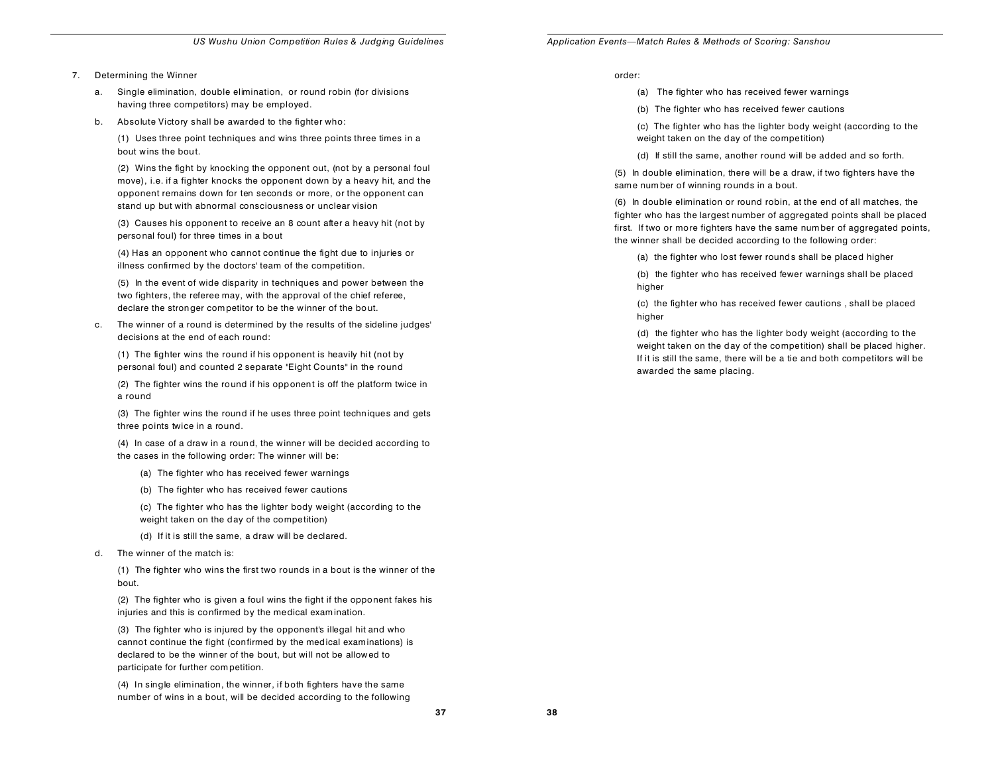- 7. Determining the Winner
	- a. Single elimination, double elimination, or round robin (for divisions having three competitors) may be employed.
	- b. Absolute Victory shall be awarded to the fighter who:

(1) Uses three point techniques and wins three points three times in a bout wins the bout.

(2) Wins the fight by knocking the opponent out, (not by a personal foul move), i.e. if a fighter knocks the opponent down by a heavy hit, and the opponent remains down for ten seconds or more, or the opponent can stand up but with abnormal consciousness or unclear vision

(3) Causes his opponent to receive an 8 count after a heavy hit (not by personal foul) for three times in a bout

(4) Has an opponent who cannot continue the fight due to injuries or illness confirmed by the doctors' team of the competition.

(5) In the event of wide disparity in techniques and power between the two fighters, the referee may, with the approval of the chief referee, declare the stronger competitor to be the winner of the bout.

c. The winner of a round is determined by the results of the sideline judges' decisions at the end of each round:

(1) The fighter wins the round if his opponent is heavily hit (not by personal foul) and counted 2 separate "Eight Counts" in the round

(2) The fighter wins the round if his opponent is off the platform twice in a round

(3) The fighter wins the round if he uses three point techniques and gets three points twice in a round.

(4) In case of a draw in a round, the winner will be decided according to the cases in the following order: The winner will be:

- (a) The fighter who has received fewer warnings
- (b) The fighter who has received fewer cautions

(c) The fighter who has the lighter body weight (according to the weight taken on the day of the competition)

- (d) If it is still the same, a draw will be declared.
- d. The winner of the match is:

(1) The fighter who wins the first two rounds in a bout is the winner of the bout.

(2) The fighter who is given a foul wins the fight if the opponent fakes his injuries and this is confirmed by the medical exam ination.

(3) The fighter who is injured by the opponent's illegal hit and who cannot continue the fight (confirmed by the medical examinations) is declared to be the winner of the bout, but will not be allowed to participate for further com petition.

(4) In single elimination, the winner, if both fighters have the same number of wins in a bout, will be decided according to the following

#### order:

(a) The fighter who has received fewer warnings

(b) The fighter who has received fewer cautions

(c) The fighter who has the lighter body weight (according to the weight taken on the day of the competition)

(d) If still the same, another round will be added and so forth.

(5) In double elimination, there will be a draw, if two fighters have the same num ber of winning rounds in a bout.

(6) In double elimination or round robin, at the end of all matches, the fighter who has the largest number of aggregated points shall be placed first. If two or more fighters have the same num ber of aggregated points, the winner shall be decided according to the following order:

(a) the fighter who lost fewer rounds shall be placed higher

(b) the fighter who has received fewer warnings shall be placed higher

(c) the fighter who has received fewer cautions , shall be placed higher

(d) the fighter who has the lighter body weight (according to the weight taken on the day of the competition) shall be placed higher. If it is still the same, there will be a tie and both competitors will be awarded the same placing.

**38**